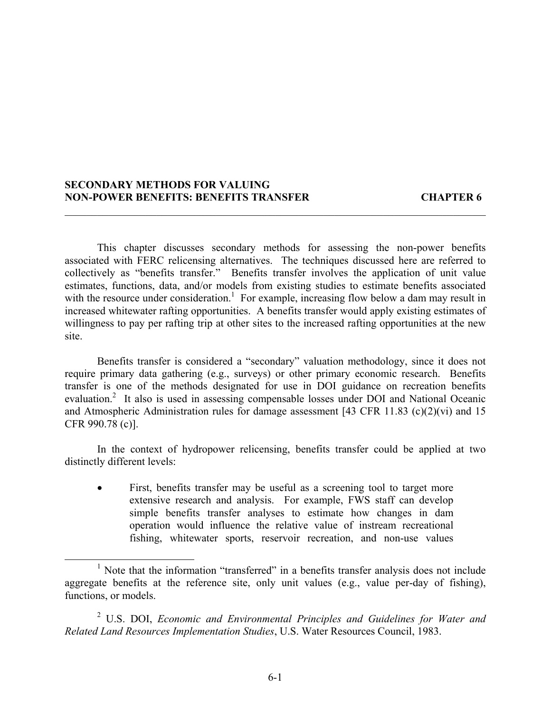# **SECONDARY METHODS FOR VALUING NON-POWER BENEFITS: BENEFITS TRANSFER CHAPTER 6**

This chapter discusses secondary methods for assessing the non-power benefits associated with FERC relicensing alternatives. The techniques discussed here are referred to collectively as "benefits transfer." Benefits transfer involves the application of unit value estimates, functions, data, and/or models from existing studies to estimate benefits associated with the resource under consideration.<sup>1</sup> For example, increasing flow below a dam may result in increased whitewater rafting opportunities. A benefits transfer would apply existing estimates of willingness to pay per rafting trip at other sites to the increased rafting opportunities at the new site.

 $\mathcal{L}_\mathcal{L} = \mathcal{L}_\mathcal{L} = \mathcal{L}_\mathcal{L} = \mathcal{L}_\mathcal{L} = \mathcal{L}_\mathcal{L} = \mathcal{L}_\mathcal{L} = \mathcal{L}_\mathcal{L} = \mathcal{L}_\mathcal{L} = \mathcal{L}_\mathcal{L} = \mathcal{L}_\mathcal{L} = \mathcal{L}_\mathcal{L} = \mathcal{L}_\mathcal{L} = \mathcal{L}_\mathcal{L} = \mathcal{L}_\mathcal{L} = \mathcal{L}_\mathcal{L} = \mathcal{L}_\mathcal{L} = \mathcal{L}_\mathcal{L}$ 

Benefits transfer is considered a "secondary" valuation methodology, since it does not require primary data gathering (e.g., surveys) or other primary economic research. Benefits transfer is one of the methods designated for use in DOI guidance on recreation benefits evaluation.<sup>2</sup> It also is used in assessing compensable losses under DOI and National Oceanic and Atmospheric Administration rules for damage assessment [43 CFR 11.83 (c)(2)(vi) and 15 CFR 990.78 (c)].

In the context of hydropower relicensing, benefits transfer could be applied at two distinctly different levels:

First, benefits transfer may be useful as a screening tool to target more extensive research and analysis. For example, FWS staff can develop simple benefits transfer analyses to estimate how changes in dam operation would influence the relative value of instream recreational fishing, whitewater sports, reservoir recreation, and non-use values

2 U.S. DOI, *Economic and Environmental Principles and Guidelines for Water and Related Land Resources Implementation Studies*, U.S. Water Resources Council, 1983.

<sup>&</sup>lt;sup>1</sup> Note that the information "transferred" in a benefits transfer analysis does not include aggregate benefits at the reference site, only unit values (e.g., value per-day of fishing), functions, or models.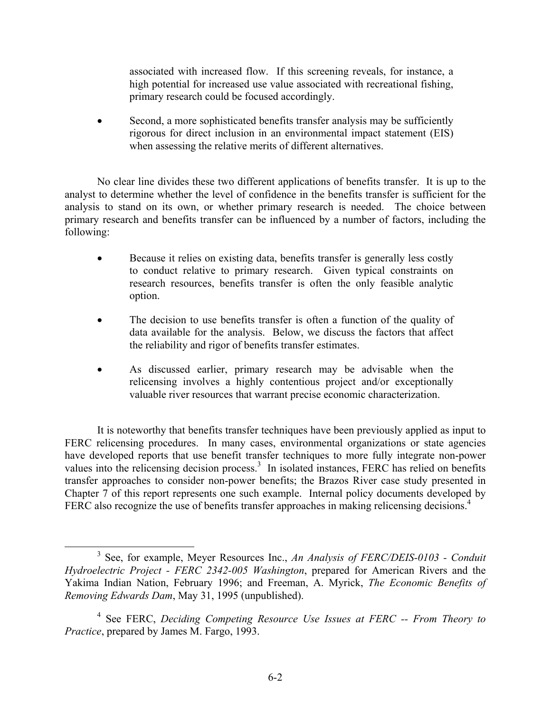associated with increased flow. If this screening reveals, for instance, a high potential for increased use value associated with recreational fishing, primary research could be focused accordingly.

Second, a more sophisticated benefits transfer analysis may be sufficiently rigorous for direct inclusion in an environmental impact statement (EIS) when assessing the relative merits of different alternatives.

No clear line divides these two different applications of benefits transfer. It is up to the analyst to determine whether the level of confidence in the benefits transfer is sufficient for the analysis to stand on its own, or whether primary research is needed. The choice between primary research and benefits transfer can be influenced by a number of factors, including the following:

- Because it relies on existing data, benefits transfer is generally less costly to conduct relative to primary research. Given typical constraints on research resources, benefits transfer is often the only feasible analytic option.
- The decision to use benefits transfer is often a function of the quality of data available for the analysis. Below, we discuss the factors that affect the reliability and rigor of benefits transfer estimates.
- As discussed earlier, primary research may be advisable when the relicensing involves a highly contentious project and/or exceptionally valuable river resources that warrant precise economic characterization.

It is noteworthy that benefits transfer techniques have been previously applied as input to FERC relicensing procedures. In many cases, environmental organizations or state agencies have developed reports that use benefit transfer techniques to more fully integrate non-power values into the relicensing decision process. $3 \text{ In isolated instances, FERC}$  has relied on benefits transfer approaches to consider non-power benefits; the Brazos River case study presented in Chapter 7 of this report represents one such example. Internal policy documents developed by FERC also recognize the use of benefits transfer approaches in making relicensing decisions.<sup>4</sup>

<sup>3</sup> See, for example, Meyer Resources Inc., *An Analysis of FERC/DEIS-0103 - Conduit Hydroelectric Project - FERC 2342-005 Washington*, prepared for American Rivers and the Yakima Indian Nation, February 1996; and Freeman, A. Myrick, *The Economic Benefits of Removing Edwards Dam*, May 31, 1995 (unpublished).

<sup>4</sup> See FERC, *Deciding Competing Resource Use Issues at FERC -- From Theory to Practice*, prepared by James M. Fargo, 1993.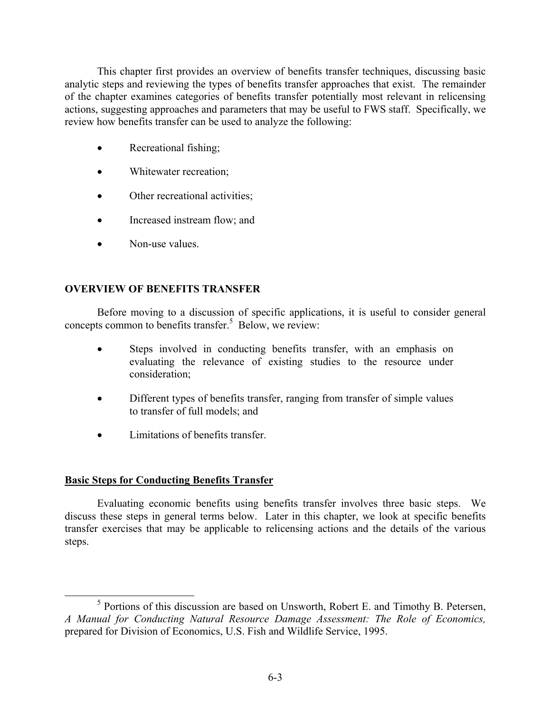This chapter first provides an overview of benefits transfer techniques, discussing basic analytic steps and reviewing the types of benefits transfer approaches that exist. The remainder of the chapter examines categories of benefits transfer potentially most relevant in relicensing actions, suggesting approaches and parameters that may be useful to FWS staff. Specifically, we review how benefits transfer can be used to analyze the following:

- Recreational fishing;
- Whitewater recreation;
- Other recreational activities;
- Increased instream flow; and
- Non-use values.

# **OVERVIEW OF BENEFITS TRANSFER**

Before moving to a discussion of specific applications, it is useful to consider general concepts common to benefits transfer. $5$  Below, we review:

- Steps involved in conducting benefits transfer, with an emphasis on evaluating the relevance of existing studies to the resource under consideration;
- Different types of benefits transfer, ranging from transfer of simple values to transfer of full models; and
- Limitations of benefits transfer.

# **Basic Steps for Conducting Benefits Transfer**

Evaluating economic benefits using benefits transfer involves three basic steps. We discuss these steps in general terms below. Later in this chapter, we look at specific benefits transfer exercises that may be applicable to relicensing actions and the details of the various steps.

 $<sup>5</sup>$  Portions of this discussion are based on Unsworth, Robert E. and Timothy B. Petersen,</sup> *A Manual for Conducting Natural Resource Damage Assessment: The Role of Economics,*  prepared for Division of Economics, U.S. Fish and Wildlife Service, 1995.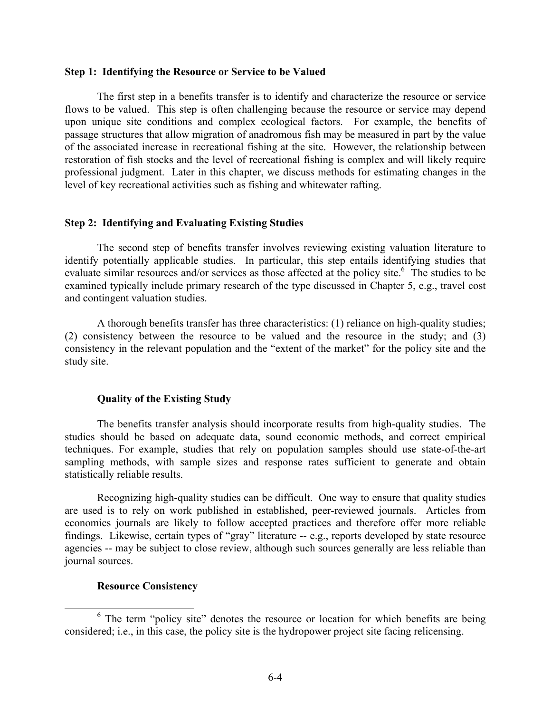#### **Step 1: Identifying the Resource or Service to be Valued**

The first step in a benefits transfer is to identify and characterize the resource or service flows to be valued. This step is often challenging because the resource or service may depend upon unique site conditions and complex ecological factors. For example, the benefits of passage structures that allow migration of anadromous fish may be measured in part by the value of the associated increase in recreational fishing at the site. However, the relationship between restoration of fish stocks and the level of recreational fishing is complex and will likely require professional judgment. Later in this chapter, we discuss methods for estimating changes in the level of key recreational activities such as fishing and whitewater rafting.

### **Step 2: Identifying and Evaluating Existing Studies**

The second step of benefits transfer involves reviewing existing valuation literature to identify potentially applicable studies. In particular, this step entails identifying studies that evaluate similar resources and/or services as those affected at the policy site.<sup>6</sup> The studies to be examined typically include primary research of the type discussed in Chapter 5, e.g., travel cost and contingent valuation studies.

A thorough benefits transfer has three characteristics: (1) reliance on high-quality studies; (2) consistency between the resource to be valued and the resource in the study; and (3) consistency in the relevant population and the "extent of the market" for the policy site and the study site.

### **Quality of the Existing Study**

The benefits transfer analysis should incorporate results from high-quality studies. The studies should be based on adequate data, sound economic methods, and correct empirical techniques. For example, studies that rely on population samples should use state-of-the-art sampling methods, with sample sizes and response rates sufficient to generate and obtain statistically reliable results.

Recognizing high-quality studies can be difficult. One way to ensure that quality studies are used is to rely on work published in established, peer-reviewed journals. Articles from economics journals are likely to follow accepted practices and therefore offer more reliable findings. Likewise, certain types of "gray" literature -- e.g., reports developed by state resource agencies -- may be subject to close review, although such sources generally are less reliable than journal sources.

### **Resource Consistency**

 $6$  The term "policy site" denotes the resource or location for which benefits are being considered; i.e., in this case, the policy site is the hydropower project site facing relicensing.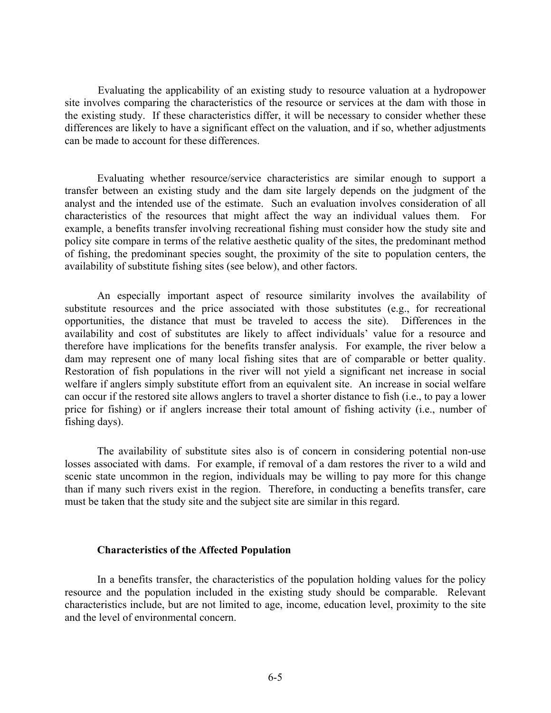Evaluating the applicability of an existing study to resource valuation at a hydropower site involves comparing the characteristics of the resource or services at the dam with those in the existing study. If these characteristics differ, it will be necessary to consider whether these differences are likely to have a significant effect on the valuation, and if so, whether adjustments can be made to account for these differences.

Evaluating whether resource/service characteristics are similar enough to support a transfer between an existing study and the dam site largely depends on the judgment of the analyst and the intended use of the estimate. Such an evaluation involves consideration of all characteristics of the resources that might affect the way an individual values them. For example, a benefits transfer involving recreational fishing must consider how the study site and policy site compare in terms of the relative aesthetic quality of the sites, the predominant method of fishing, the predominant species sought, the proximity of the site to population centers, the availability of substitute fishing sites (see below), and other factors.

An especially important aspect of resource similarity involves the availability of substitute resources and the price associated with those substitutes (e.g., for recreational opportunities, the distance that must be traveled to access the site). Differences in the availability and cost of substitutes are likely to affect individuals' value for a resource and therefore have implications for the benefits transfer analysis. For example, the river below a dam may represent one of many local fishing sites that are of comparable or better quality. Restoration of fish populations in the river will not yield a significant net increase in social welfare if anglers simply substitute effort from an equivalent site. An increase in social welfare can occur if the restored site allows anglers to travel a shorter distance to fish (i.e., to pay a lower price for fishing) or if anglers increase their total amount of fishing activity (i.e., number of fishing days).

The availability of substitute sites also is of concern in considering potential non-use losses associated with dams. For example, if removal of a dam restores the river to a wild and scenic state uncommon in the region, individuals may be willing to pay more for this change than if many such rivers exist in the region. Therefore, in conducting a benefits transfer, care must be taken that the study site and the subject site are similar in this regard.

#### **Characteristics of the Affected Population**

In a benefits transfer, the characteristics of the population holding values for the policy resource and the population included in the existing study should be comparable. Relevant characteristics include, but are not limited to age, income, education level, proximity to the site and the level of environmental concern.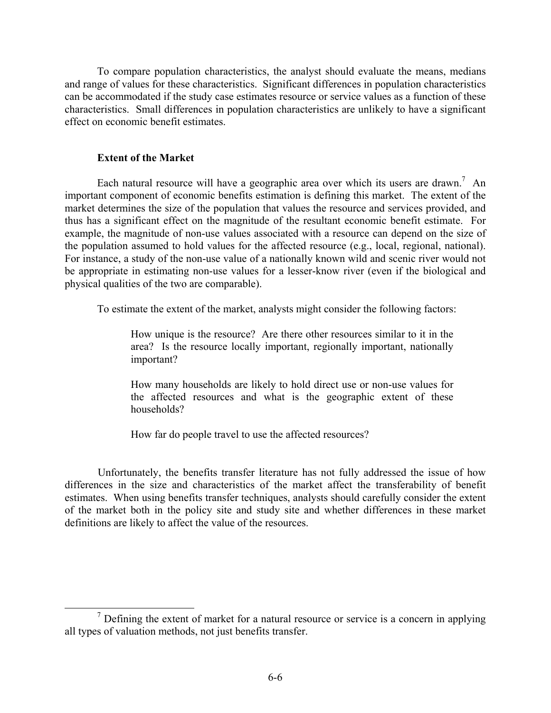To compare population characteristics, the analyst should evaluate the means, medians and range of values for these characteristics. Significant differences in population characteristics can be accommodated if the study case estimates resource or service values as a function of these characteristics. Small differences in population characteristics are unlikely to have a significant effect on economic benefit estimates.

# **Extent of the Market**

Each natural resource will have a geographic area over which its users are drawn.<sup>7</sup> An important component of economic benefits estimation is defining this market. The extent of the market determines the size of the population that values the resource and services provided, and thus has a significant effect on the magnitude of the resultant economic benefit estimate. For example, the magnitude of non-use values associated with a resource can depend on the size of the population assumed to hold values for the affected resource (e.g., local, regional, national). For instance, a study of the non-use value of a nationally known wild and scenic river would not be appropriate in estimating non-use values for a lesser-know river (even if the biological and physical qualities of the two are comparable).

To estimate the extent of the market, analysts might consider the following factors:

 How unique is the resource? Are there other resources similar to it in the area? Is the resource locally important, regionally important, nationally important?

 How many households are likely to hold direct use or non-use values for the affected resources and what is the geographic extent of these households?

How far do people travel to use the affected resources?

Unfortunately, the benefits transfer literature has not fully addressed the issue of how differences in the size and characteristics of the market affect the transferability of benefit estimates. When using benefits transfer techniques, analysts should carefully consider the extent of the market both in the policy site and study site and whether differences in these market definitions are likely to affect the value of the resources.

 $<sup>7</sup>$  Defining the extent of market for a natural resource or service is a concern in applying</sup> all types of valuation methods, not just benefits transfer.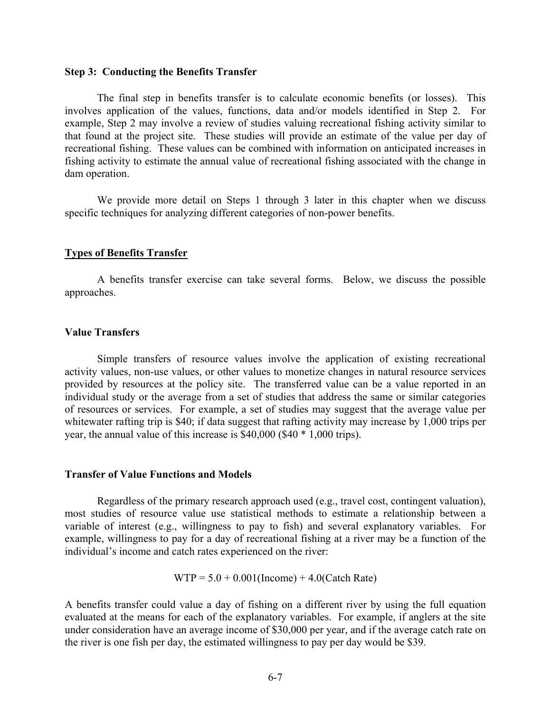#### **Step 3: Conducting the Benefits Transfer**

The final step in benefits transfer is to calculate economic benefits (or losses). This involves application of the values, functions, data and/or models identified in Step 2. For example, Step 2 may involve a review of studies valuing recreational fishing activity similar to that found at the project site. These studies will provide an estimate of the value per day of recreational fishing. These values can be combined with information on anticipated increases in fishing activity to estimate the annual value of recreational fishing associated with the change in dam operation.

We provide more detail on Steps 1 through 3 later in this chapter when we discuss specific techniques for analyzing different categories of non-power benefits.

### **Types of Benefits Transfer**

A benefits transfer exercise can take several forms. Below, we discuss the possible approaches.

### **Value Transfers**

Simple transfers of resource values involve the application of existing recreational activity values, non-use values, or other values to monetize changes in natural resource services provided by resources at the policy site. The transferred value can be a value reported in an individual study or the average from a set of studies that address the same or similar categories of resources or services. For example, a set of studies may suggest that the average value per whitewater rafting trip is \$40; if data suggest that rafting activity may increase by 1,000 trips per year, the annual value of this increase is \$40,000 (\$40 \* 1,000 trips).

#### **Transfer of Value Functions and Models**

Regardless of the primary research approach used (e.g., travel cost, contingent valuation), most studies of resource value use statistical methods to estimate a relationship between a variable of interest (e.g., willingness to pay to fish) and several explanatory variables. For example, willingness to pay for a day of recreational fishing at a river may be a function of the individual's income and catch rates experienced on the river:

$$
WTP = 5.0 + 0.001
$$
(Income) + 4.0(Catch Rate)

A benefits transfer could value a day of fishing on a different river by using the full equation evaluated at the means for each of the explanatory variables. For example, if anglers at the site under consideration have an average income of \$30,000 per year, and if the average catch rate on the river is one fish per day, the estimated willingness to pay per day would be \$39.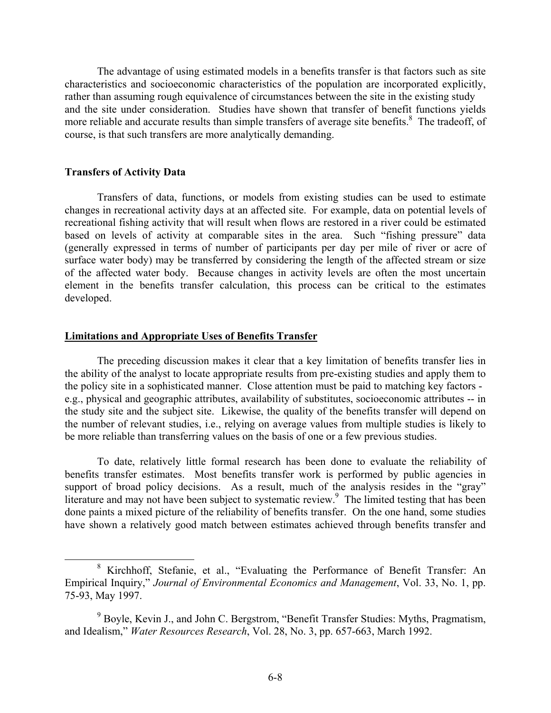The advantage of using estimated models in a benefits transfer is that factors such as site characteristics and socioeconomic characteristics of the population are incorporated explicitly, rather than assuming rough equivalence of circumstances between the site in the existing study and the site under consideration. Studies have shown that transfer of benefit functions yields more reliable and accurate results than simple transfers of average site benefits.<sup>8</sup> The tradeoff, of course, is that such transfers are more analytically demanding.

### **Transfers of Activity Data**

Transfers of data, functions, or models from existing studies can be used to estimate changes in recreational activity days at an affected site. For example, data on potential levels of recreational fishing activity that will result when flows are restored in a river could be estimated based on levels of activity at comparable sites in the area. Such "fishing pressure" data (generally expressed in terms of number of participants per day per mile of river or acre of surface water body) may be transferred by considering the length of the affected stream or size of the affected water body. Because changes in activity levels are often the most uncertain element in the benefits transfer calculation, this process can be critical to the estimates developed.

### **Limitations and Appropriate Uses of Benefits Transfer**

The preceding discussion makes it clear that a key limitation of benefits transfer lies in the ability of the analyst to locate appropriate results from pre-existing studies and apply them to the policy site in a sophisticated manner. Close attention must be paid to matching key factors e.g., physical and geographic attributes, availability of substitutes, socioeconomic attributes -- in the study site and the subject site. Likewise, the quality of the benefits transfer will depend on the number of relevant studies, i.e., relying on average values from multiple studies is likely to be more reliable than transferring values on the basis of one or a few previous studies.

To date, relatively little formal research has been done to evaluate the reliability of benefits transfer estimates. Most benefits transfer work is performed by public agencies in support of broad policy decisions. As a result, much of the analysis resides in the "gray" literature and may not have been subject to systematic review.<sup>9</sup> The limited testing that has been done paints a mixed picture of the reliability of benefits transfer. On the one hand, some studies have shown a relatively good match between estimates achieved through benefits transfer and

<sup>&</sup>lt;sup>8</sup> Kirchhoff, Stefanie, et al., "Evaluating the Performance of Benefit Transfer: An Empirical Inquiry," *Journal of Environmental Economics and Management*, Vol. 33, No. 1, pp. 75-93, May 1997.

<sup>&</sup>lt;sup>9</sup> Boyle, Kevin J., and John C. Bergstrom, "Benefit Transfer Studies: Myths, Pragmatism, and Idealism," *Water Resources Research*, Vol. 28, No. 3, pp. 657-663, March 1992.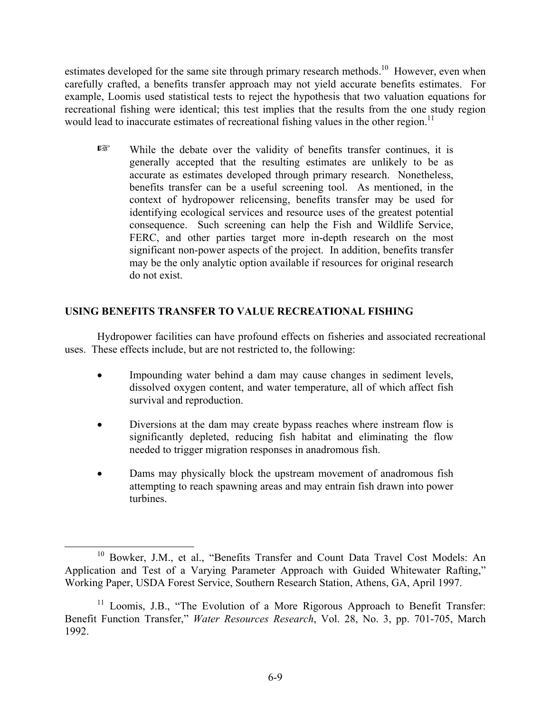estimates developed for the same site through primary research methods.<sup>10</sup> However, even when carefully crafted, a benefits transfer approach may not yield accurate benefits estimates. For example, Loomis used statistical tests to reject the hypothesis that two valuation equations for recreational fishing were identical; this test implies that the results from the one study region would lead to inaccurate estimates of recreational fishing values in the other region.<sup>11</sup>

 $E^*$  While the debate over the validity of benefits transfer continues, it is generally accepted that the resulting estimates are unlikely to be as accurate as estimates developed through primary research. Nonetheless, benefits transfer can be a useful screening tool. As mentioned, in the context of hydropower relicensing, benefits transfer may be used for identifying ecological services and resource uses of the greatest potential consequence. Such screening can help the Fish and Wildlife Service, FERC, and other parties target more in-depth research on the most significant non-power aspects of the project. In addition, benefits transfer may be the only analytic option available if resources for original research do not exist.

# **USING BENEFITS TRANSFER TO VALUE RECREATIONAL FISHING**

Hydropower facilities can have profound effects on fisheries and associated recreational uses. These effects include, but are not restricted to, the following:

- Impounding water behind a dam may cause changes in sediment levels, dissolved oxygen content, and water temperature, all of which affect fish survival and reproduction.
- Diversions at the dam may create bypass reaches where instream flow is significantly depleted, reducing fish habitat and eliminating the flow needed to trigger migration responses in anadromous fish.
- Dams may physically block the upstream movement of anadromous fish attempting to reach spawning areas and may entrain fish drawn into power turbines.

<sup>&</sup>lt;sup>10</sup> Bowker, J.M., et al., "Benefits Transfer and Count Data Travel Cost Models: An Application and Test of a Varying Parameter Approach with Guided Whitewater Rafting," Working Paper, USDA Forest Service, Southern Research Station, Athens, GA, April 1997.

<sup>&</sup>lt;sup>11</sup> Loomis, J.B., "The Evolution of a More Rigorous Approach to Benefit Transfer: Benefit Function Transfer," *Water Resources Research*, Vol. 28, No. 3, pp. 701-705, March 1992.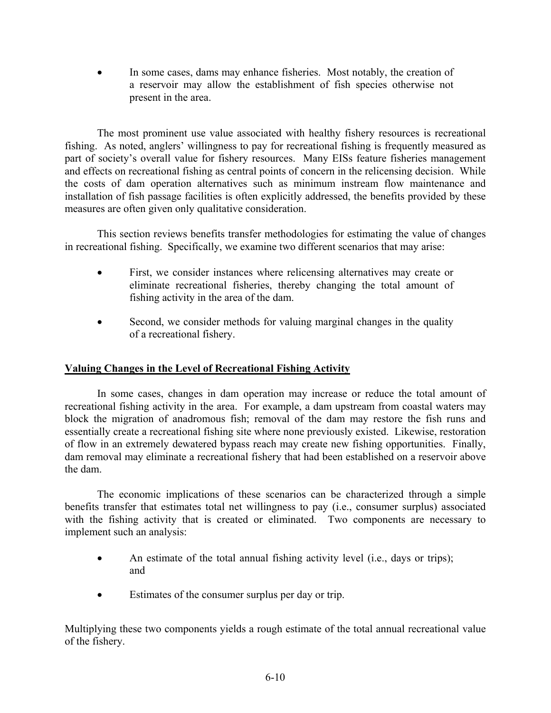In some cases, dams may enhance fisheries. Most notably, the creation of a reservoir may allow the establishment of fish species otherwise not present in the area.

The most prominent use value associated with healthy fishery resources is recreational fishing. As noted, anglers' willingness to pay for recreational fishing is frequently measured as part of society's overall value for fishery resources. Many EISs feature fisheries management and effects on recreational fishing as central points of concern in the relicensing decision. While the costs of dam operation alternatives such as minimum instream flow maintenance and installation of fish passage facilities is often explicitly addressed, the benefits provided by these measures are often given only qualitative consideration.

This section reviews benefits transfer methodologies for estimating the value of changes in recreational fishing. Specifically, we examine two different scenarios that may arise:

- First, we consider instances where relicensing alternatives may create or eliminate recreational fisheries, thereby changing the total amount of fishing activity in the area of the dam.
- Second, we consider methods for valuing marginal changes in the quality of a recreational fishery.

# **Valuing Changes in the Level of Recreational Fishing Activity**

In some cases, changes in dam operation may increase or reduce the total amount of recreational fishing activity in the area. For example, a dam upstream from coastal waters may block the migration of anadromous fish; removal of the dam may restore the fish runs and essentially create a recreational fishing site where none previously existed. Likewise, restoration of flow in an extremely dewatered bypass reach may create new fishing opportunities. Finally, dam removal may eliminate a recreational fishery that had been established on a reservoir above the dam.

The economic implications of these scenarios can be characterized through a simple benefits transfer that estimates total net willingness to pay (i.e., consumer surplus) associated with the fishing activity that is created or eliminated. Two components are necessary to implement such an analysis:

- An estimate of the total annual fishing activity level (i.e., days or trips); and
- Estimates of the consumer surplus per day or trip.

Multiplying these two components yields a rough estimate of the total annual recreational value of the fishery.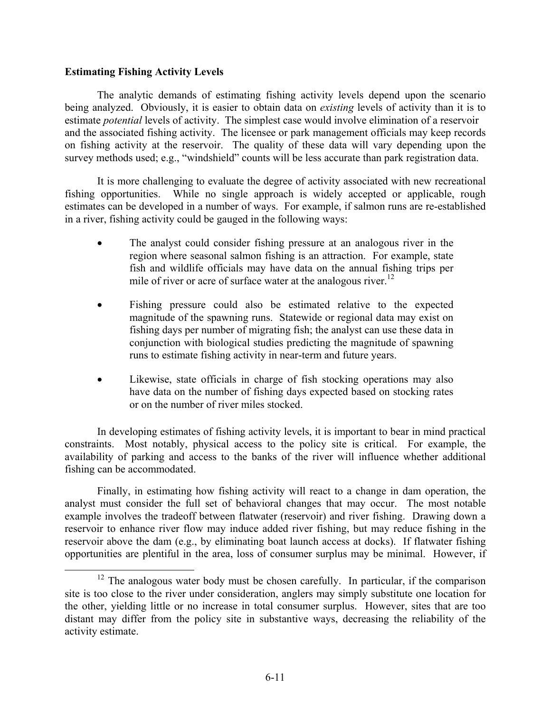### **Estimating Fishing Activity Levels**

The analytic demands of estimating fishing activity levels depend upon the scenario being analyzed. Obviously, it is easier to obtain data on *existing* levels of activity than it is to estimate *potential* levels of activity. The simplest case would involve elimination of a reservoir and the associated fishing activity. The licensee or park management officials may keep records on fishing activity at the reservoir. The quality of these data will vary depending upon the survey methods used; e.g., "windshield" counts will be less accurate than park registration data.

It is more challenging to evaluate the degree of activity associated with new recreational fishing opportunities. While no single approach is widely accepted or applicable, rough estimates can be developed in a number of ways. For example, if salmon runs are re-established in a river, fishing activity could be gauged in the following ways:

- The analyst could consider fishing pressure at an analogous river in the region where seasonal salmon fishing is an attraction. For example, state fish and wildlife officials may have data on the annual fishing trips per mile of river or acre of surface water at the analogous river.<sup>12</sup>
- Fishing pressure could also be estimated relative to the expected magnitude of the spawning runs. Statewide or regional data may exist on fishing days per number of migrating fish; the analyst can use these data in conjunction with biological studies predicting the magnitude of spawning runs to estimate fishing activity in near-term and future years.
- Likewise, state officials in charge of fish stocking operations may also have data on the number of fishing days expected based on stocking rates or on the number of river miles stocked.

In developing estimates of fishing activity levels, it is important to bear in mind practical constraints. Most notably, physical access to the policy site is critical. For example, the availability of parking and access to the banks of the river will influence whether additional fishing can be accommodated.

Finally, in estimating how fishing activity will react to a change in dam operation, the analyst must consider the full set of behavioral changes that may occur. The most notable example involves the tradeoff between flatwater (reservoir) and river fishing. Drawing down a reservoir to enhance river flow may induce added river fishing, but may reduce fishing in the reservoir above the dam (e.g., by eliminating boat launch access at docks). If flatwater fishing opportunities are plentiful in the area, loss of consumer surplus may be minimal. However, if

<sup>&</sup>lt;sup>12</sup> The analogous water body must be chosen carefully. In particular, if the comparison site is too close to the river under consideration, anglers may simply substitute one location for the other, yielding little or no increase in total consumer surplus. However, sites that are too distant may differ from the policy site in substantive ways, decreasing the reliability of the activity estimate.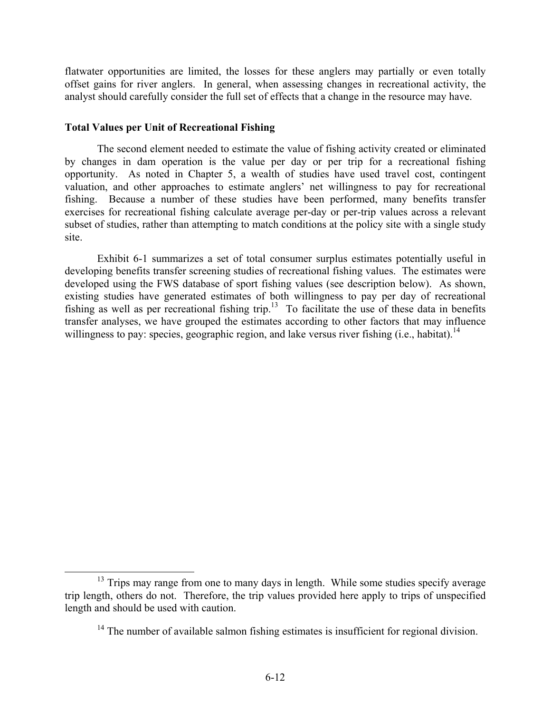flatwater opportunities are limited, the losses for these anglers may partially or even totally offset gains for river anglers. In general, when assessing changes in recreational activity, the analyst should carefully consider the full set of effects that a change in the resource may have.

### **Total Values per Unit of Recreational Fishing**

The second element needed to estimate the value of fishing activity created or eliminated by changes in dam operation is the value per day or per trip for a recreational fishing opportunity. As noted in Chapter 5, a wealth of studies have used travel cost, contingent valuation, and other approaches to estimate anglers' net willingness to pay for recreational fishing. Because a number of these studies have been performed, many benefits transfer exercises for recreational fishing calculate average per-day or per-trip values across a relevant subset of studies, rather than attempting to match conditions at the policy site with a single study site.

Exhibit 6-1 summarizes a set of total consumer surplus estimates potentially useful in developing benefits transfer screening studies of recreational fishing values. The estimates were developed using the FWS database of sport fishing values (see description below). As shown, existing studies have generated estimates of both willingness to pay per day of recreational fishing as well as per recreational fishing trip.<sup>13</sup> To facilitate the use of these data in benefits transfer analyses, we have grouped the estimates according to other factors that may influence willingness to pay: species, geographic region, and lake versus river fishing  $(i.e., habitat)<sup>14</sup>$ 

<sup>&</sup>lt;sup>13</sup> Trips may range from one to many days in length. While some studies specify average trip length, others do not. Therefore, the trip values provided here apply to trips of unspecified length and should be used with caution.

<sup>&</sup>lt;sup>14</sup> The number of available salmon fishing estimates is insufficient for regional division.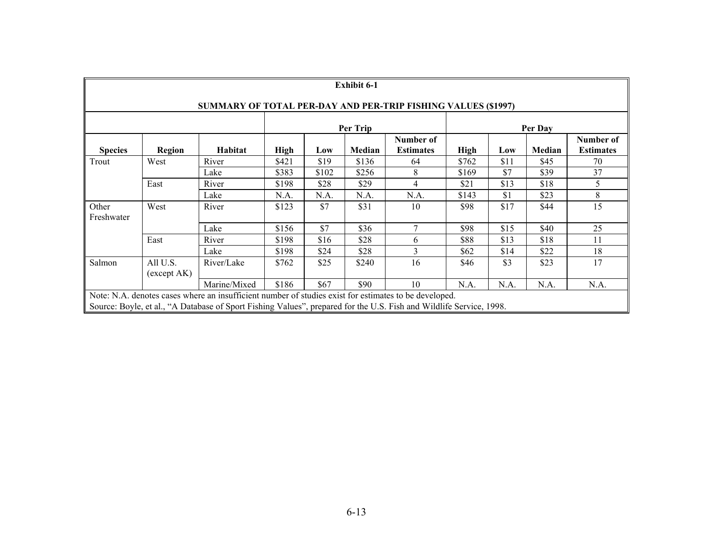|                                                                             | <b>Exhibit 6-1</b>                                                   |                                                                                                                                                                                                                              |             |       |        |                               |             |      |        |                               |
|-----------------------------------------------------------------------------|----------------------------------------------------------------------|------------------------------------------------------------------------------------------------------------------------------------------------------------------------------------------------------------------------------|-------------|-------|--------|-------------------------------|-------------|------|--------|-------------------------------|
|                                                                             | <b>SUMMARY OF TOTAL PER-DAY AND PER-TRIP FISHING VALUES (\$1997)</b> |                                                                                                                                                                                                                              |             |       |        |                               |             |      |        |                               |
| Per Trip<br>Per Day                                                         |                                                                      |                                                                                                                                                                                                                              |             |       |        |                               |             |      |        |                               |
| <b>Species</b>                                                              | Region                                                               | Habitat                                                                                                                                                                                                                      | <b>High</b> | Low   | Median | Number of<br><b>Estimates</b> | <b>High</b> | Low  | Median | Number of<br><b>Estimates</b> |
| Trout                                                                       | West                                                                 | River                                                                                                                                                                                                                        | \$421       | \$19  | \$136  | 64                            | \$762       | \$11 | \$45   | 70                            |
|                                                                             |                                                                      | Lake                                                                                                                                                                                                                         | \$383       | \$102 | \$256  | 8                             | \$169       | \$7  | \$39   | 37                            |
|                                                                             | East                                                                 | River                                                                                                                                                                                                                        | \$198       | \$28  | \$29   | 4                             | \$21        | \$13 | \$18   | 5                             |
|                                                                             |                                                                      | Lake                                                                                                                                                                                                                         | N.A.        | N.A.  | N.A.   | N.A.                          | \$143       | \$1  | \$23   | 8                             |
| Other<br>Freshwater                                                         | West                                                                 | River                                                                                                                                                                                                                        | \$123       | \$7   | \$31   | 10                            | \$98        | \$17 | \$44   | 15                            |
|                                                                             |                                                                      | Lake                                                                                                                                                                                                                         | \$156       | \$7   | \$36   | $\overline{7}$                | \$98        | \$15 | \$40   | 25                            |
|                                                                             | East                                                                 | River                                                                                                                                                                                                                        | \$198       | \$16  | \$28   | 6                             | \$88        | \$13 | \$18   | 11                            |
|                                                                             |                                                                      | Lake                                                                                                                                                                                                                         | \$198       | \$24  | \$28   | 3                             | \$62        | \$14 | \$22   | 18                            |
| Salmon                                                                      | All U.S.<br>(except AK)                                              | River/Lake                                                                                                                                                                                                                   | \$762       | \$25  | \$240  | 16                            | \$46        | \$3  | \$23   | 17                            |
| \$67<br>\$90<br>Marine/Mixed<br>\$186<br>10<br>N.A.<br>N.A.<br>N.A.<br>N.A. |                                                                      |                                                                                                                                                                                                                              |             |       |        |                               |             |      |        |                               |
|                                                                             |                                                                      | Note: N.A. denotes cases where an insufficient number of studies exist for estimates to be developed.<br>Source: Boyle, et al., "A Database of Sport Fishing Values", prepared for the U.S. Fish and Wildlife Service, 1998. |             |       |        |                               |             |      |        |                               |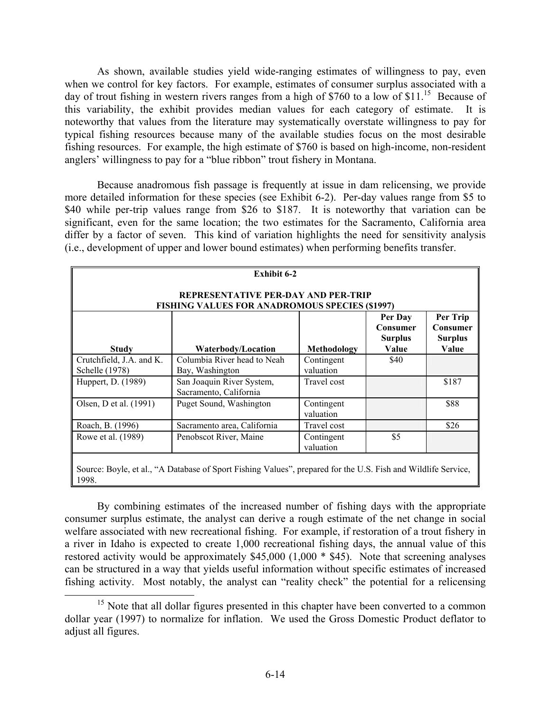As shown, available studies yield wide-ranging estimates of willingness to pay, even when we control for key factors. For example, estimates of consumer surplus associated with a day of trout fishing in western rivers ranges from a high of \$760 to a low of \$11.<sup>15</sup> Because of this variability, the exhibit provides median values for each category of estimate. It is noteworthy that values from the literature may systematically overstate willingness to pay for typical fishing resources because many of the available studies focus on the most desirable fishing resources. For example, the high estimate of \$760 is based on high-income, non-resident anglers' willingness to pay for a "blue ribbon" trout fishery in Montana.

Because anadromous fish passage is frequently at issue in dam relicensing, we provide more detailed information for these species (see Exhibit 6-2). Per-day values range from \$5 to \$40 while per-trip values range from \$26 to \$187. It is noteworthy that variation can be significant, even for the same location; the two estimates for the Sacramento, California area differ by a factor of seven. This kind of variation highlights the need for sensitivity analysis (i.e., development of upper and lower bound estimates) when performing benefits transfer.

| <b>Exhibit 6-2</b>                                                                                                                                            |                                                     |                         |      |       |  |  |  |  |
|---------------------------------------------------------------------------------------------------------------------------------------------------------------|-----------------------------------------------------|-------------------------|------|-------|--|--|--|--|
| REPRESENTATIVE PER-DAY AND PER-TRIP<br><b>FISHING VALUES FOR ANADROMOUS SPECIES (\$1997)</b>                                                                  |                                                     |                         |      |       |  |  |  |  |
| Per Trip<br>Per Day<br>Consumer<br>Consumer<br><b>Surplus</b><br><b>Surplus</b><br><b>Study</b><br><b>Methodology</b><br>Value<br>Value<br>Waterbody/Location |                                                     |                         |      |       |  |  |  |  |
| Crutchfield, J.A. and K.<br>Schelle (1978)                                                                                                                    | Columbia River head to Neah<br>Bay, Washington      | Contingent<br>valuation | \$40 |       |  |  |  |  |
| Huppert, D. (1989)                                                                                                                                            | San Joaquin River System,<br>Sacramento, California | Travel cost             |      | \$187 |  |  |  |  |
| Olsen, D et al. (1991)                                                                                                                                        | Puget Sound, Washington                             | Contingent<br>valuation |      | \$88  |  |  |  |  |
| Roach, B. (1996)                                                                                                                                              | Sacramento area, California                         | Travel cost             |      | \$26  |  |  |  |  |
| Rowe et al. (1989)                                                                                                                                            | Penobscot River, Maine                              | Contingent<br>valuation | \$5  |       |  |  |  |  |
| Source: Boyle, et al., "A Database of Sport Fishing Values", prepared for the U.S. Fish and Wildlife Service,<br>1998.                                        |                                                     |                         |      |       |  |  |  |  |

 By combining estimates of the increased number of fishing days with the appropriate consumer surplus estimate, the analyst can derive a rough estimate of the net change in social welfare associated with new recreational fishing. For example, if restoration of a trout fishery in a river in Idaho is expected to create 1,000 recreational fishing days, the annual value of this restored activity would be approximately \$45,000 (1,000 \* \$45). Note that screening analyses can be structured in a way that yields useful information without specific estimates of increased fishing activity. Most notably, the analyst can "reality check" the potential for a relicensing

<sup>&</sup>lt;sup>15</sup> Note that all dollar figures presented in this chapter have been converted to a common dollar year (1997) to normalize for inflation. We used the Gross Domestic Product deflator to adjust all figures.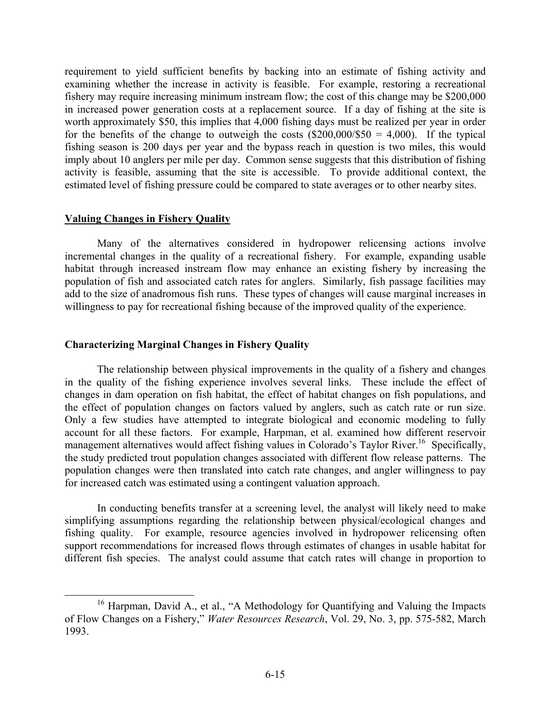requirement to yield sufficient benefits by backing into an estimate of fishing activity and examining whether the increase in activity is feasible. For example, restoring a recreational fishery may require increasing minimum instream flow; the cost of this change may be \$200,000 in increased power generation costs at a replacement source. If a day of fishing at the site is worth approximately \$50, this implies that 4,000 fishing days must be realized per year in order for the benefits of the change to outweigh the costs  $(\$200,000/\$50 = 4,000)$ . If the typical fishing season is 200 days per year and the bypass reach in question is two miles, this would imply about 10 anglers per mile per day. Common sense suggests that this distribution of fishing activity is feasible, assuming that the site is accessible. To provide additional context, the estimated level of fishing pressure could be compared to state averages or to other nearby sites.

### **Valuing Changes in Fishery Quality**

 Many of the alternatives considered in hydropower relicensing actions involve incremental changes in the quality of a recreational fishery. For example, expanding usable habitat through increased instream flow may enhance an existing fishery by increasing the population of fish and associated catch rates for anglers. Similarly, fish passage facilities may add to the size of anadromous fish runs. These types of changes will cause marginal increases in willingness to pay for recreational fishing because of the improved quality of the experience.

### **Characterizing Marginal Changes in Fishery Quality**

 The relationship between physical improvements in the quality of a fishery and changes in the quality of the fishing experience involves several links. These include the effect of changes in dam operation on fish habitat, the effect of habitat changes on fish populations, and the effect of population changes on factors valued by anglers, such as catch rate or run size. Only a few studies have attempted to integrate biological and economic modeling to fully account for all these factors. For example, Harpman, et al. examined how different reservoir management alternatives would affect fishing values in Colorado's Taylor River.<sup>16</sup> Specifically, the study predicted trout population changes associated with different flow release patterns. The population changes were then translated into catch rate changes, and angler willingness to pay for increased catch was estimated using a contingent valuation approach.

 In conducting benefits transfer at a screening level, the analyst will likely need to make simplifying assumptions regarding the relationship between physical/ecological changes and fishing quality. For example, resource agencies involved in hydropower relicensing often support recommendations for increased flows through estimates of changes in usable habitat for different fish species. The analyst could assume that catch rates will change in proportion to

<sup>&</sup>lt;sup>16</sup> Harpman, David A., et al., "A Methodology for Quantifying and Valuing the Impacts of Flow Changes on a Fishery," *Water Resources Research*, Vol. 29, No. 3, pp. 575-582, March 1993.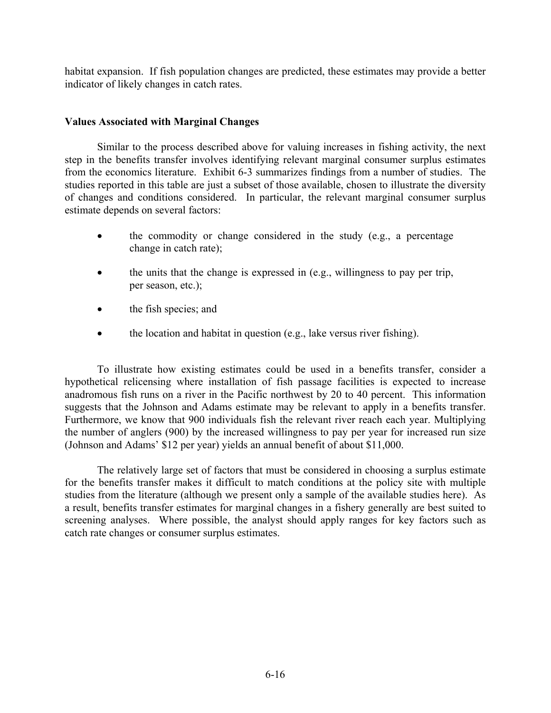habitat expansion. If fish population changes are predicted, these estimates may provide a better indicator of likely changes in catch rates.

# **Values Associated with Marginal Changes**

 Similar to the process described above for valuing increases in fishing activity, the next step in the benefits transfer involves identifying relevant marginal consumer surplus estimates from the economics literature. Exhibit 6-3 summarizes findings from a number of studies. The studies reported in this table are just a subset of those available, chosen to illustrate the diversity of changes and conditions considered. In particular, the relevant marginal consumer surplus estimate depends on several factors:

- the commodity or change considered in the study (e.g., a percentage change in catch rate);
- the units that the change is expressed in (e.g., willingness to pay per trip, per season, etc.);
- the fish species; and
- the location and habitat in question (e.g., lake versus river fishing).

To illustrate how existing estimates could be used in a benefits transfer, consider a hypothetical relicensing where installation of fish passage facilities is expected to increase anadromous fish runs on a river in the Pacific northwest by 20 to 40 percent. This information suggests that the Johnson and Adams estimate may be relevant to apply in a benefits transfer. Furthermore, we know that 900 individuals fish the relevant river reach each year. Multiplying the number of anglers (900) by the increased willingness to pay per year for increased run size (Johnson and Adams' \$12 per year) yields an annual benefit of about \$11,000.

 The relatively large set of factors that must be considered in choosing a surplus estimate for the benefits transfer makes it difficult to match conditions at the policy site with multiple studies from the literature (although we present only a sample of the available studies here). As a result, benefits transfer estimates for marginal changes in a fishery generally are best suited to screening analyses. Where possible, the analyst should apply ranges for key factors such as catch rate changes or consumer surplus estimates.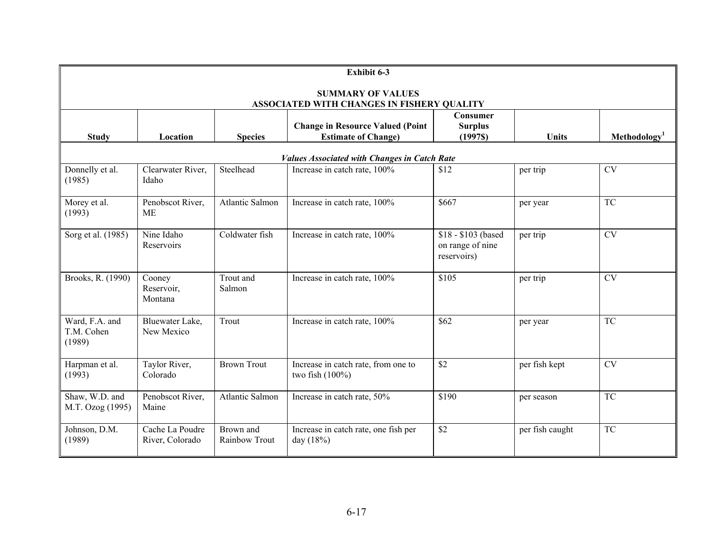|                                                                                                                                       | Exhibit 6-3                        |                            |                                                                                                                     |                                                        |                 |                          |  |
|---------------------------------------------------------------------------------------------------------------------------------------|------------------------------------|----------------------------|---------------------------------------------------------------------------------------------------------------------|--------------------------------------------------------|-----------------|--------------------------|--|
| <b>SUMMARY OF VALUES</b>                                                                                                              |                                    |                            |                                                                                                                     |                                                        |                 |                          |  |
| <b>Study</b>                                                                                                                          | Location                           | <b>Species</b>             | ASSOCIATED WITH CHANGES IN FISHERY QUALITY<br><b>Change in Resource Valued (Point</b><br><b>Estimate of Change)</b> | <b>Consumer</b><br><b>Surplus</b><br>(1997S)           | <b>Units</b>    | Methodology <sup>1</sup> |  |
|                                                                                                                                       |                                    |                            | <b>Values Associated with Changes in Catch Rate</b>                                                                 |                                                        |                 |                          |  |
| Clearwater River,<br>Steelhead<br>\$12<br><b>CV</b><br>Increase in catch rate, 100%<br>Donnelly et al.<br>per trip<br>(1985)<br>Idaho |                                    |                            |                                                                                                                     |                                                        |                 |                          |  |
| Morey et al.<br>(1993)                                                                                                                | Penobscot River,<br><b>ME</b>      | Atlantic Salmon            | Increase in catch rate, 100%                                                                                        | \$667                                                  | per year        | <b>TC</b>                |  |
| Sorg et al. (1985)                                                                                                                    | Nine Idaho<br>Reservoirs           | Coldwater fish             | Increase in catch rate, 100%                                                                                        | \$18 - \$103 (based<br>on range of nine<br>reservoirs) | per trip        | <b>CV</b>                |  |
| Brooks, R. (1990)                                                                                                                     | Cooney<br>Reservoir,<br>Montana    | Trout and<br>Salmon        | Increase in catch rate, 100%                                                                                        | \$105                                                  | per trip        | CV                       |  |
| Ward, F.A. and<br>T.M. Cohen<br>(1989)                                                                                                | Bluewater Lake,<br>New Mexico      | Trout                      | Increase in catch rate, 100%                                                                                        | \$62                                                   | per year        | <b>TC</b>                |  |
| Harpman et al.<br>(1993)                                                                                                              | Taylor River,<br>Colorado          | <b>Brown Trout</b>         | Increase in catch rate, from one to<br>two fish $(100\%)$                                                           | \$2                                                    | per fish kept   | <b>CV</b>                |  |
| Shaw, W.D. and<br>M.T. Ozog (1995)                                                                                                    | Penobscot River,<br>Maine          | Atlantic Salmon            | Increase in catch rate, 50%                                                                                         | \$190                                                  | per season      | <b>TC</b>                |  |
| Johnson, D.M.<br>(1989)                                                                                                               | Cache La Poudre<br>River, Colorado | Brown and<br>Rainbow Trout | Increase in catch rate, one fish per<br>day (18%)                                                                   | \$2                                                    | per fish caught | <b>TC</b>                |  |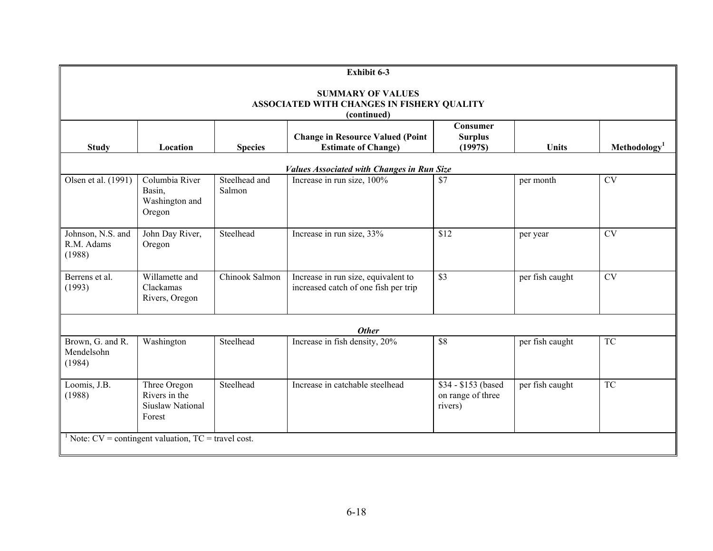|                                                                                       | Exhibit 6-3                                                         |                         |                                                                             |                                                     |                 |                          |  |
|---------------------------------------------------------------------------------------|---------------------------------------------------------------------|-------------------------|-----------------------------------------------------------------------------|-----------------------------------------------------|-----------------|--------------------------|--|
| <b>SUMMARY OF VALUES</b><br>ASSOCIATED WITH CHANGES IN FISHERY QUALITY<br>(continued) |                                                                     |                         |                                                                             |                                                     |                 |                          |  |
| <b>Study</b>                                                                          | Location                                                            | <b>Species</b>          | <b>Change in Resource Valued (Point</b><br><b>Estimate of Change)</b>       | Consumer<br><b>Surplus</b><br>(1997S)               | <b>Units</b>    | Methodology <sup>1</sup> |  |
|                                                                                       |                                                                     |                         | <b>Values Associated with Changes in Run Size</b>                           |                                                     |                 |                          |  |
| Olsen et al. (1991)                                                                   | Columbia River<br>Basin,<br>Washington and<br>Oregon                | Steelhead and<br>Salmon | Increase in run size, 100%                                                  | \$7                                                 | per month       | <b>CV</b>                |  |
| Johnson, N.S. and<br>R.M. Adams<br>(1988)                                             | John Day River,<br>Oregon                                           | Steelhead               | Increase in run size, 33%                                                   | \$12                                                | per year        | <b>CV</b>                |  |
| Berrens et al.<br>(1993)                                                              | Willamette and<br>Clackamas<br>Rivers, Oregon                       | Chinook Salmon          | Increase in run size, equivalent to<br>increased catch of one fish per trip | $\overline{\$3}$                                    | per fish caught | <b>CV</b>                |  |
|                                                                                       |                                                                     |                         | <b>Other</b>                                                                |                                                     |                 |                          |  |
| Brown, G. and R.<br>Mendelsohn<br>(1984)                                              | Washington                                                          | Steelhead               | Increase in fish density, 20%                                               | \$8                                                 | per fish caught | <b>TC</b>                |  |
| Loomis, J.B.<br>(1988)                                                                | Three Oregon<br>Rivers in the<br><b>Siuslaw National</b><br>Forest  | Steelhead               | Increase in catchable steelhead                                             | \$34 - \$153 (based<br>on range of three<br>rivers) | per fish caught | <b>TC</b>                |  |
|                                                                                       | <sup>1</sup> Note: $CV =$ contingent valuation, $TC =$ travel cost. |                         |                                                                             |                                                     |                 |                          |  |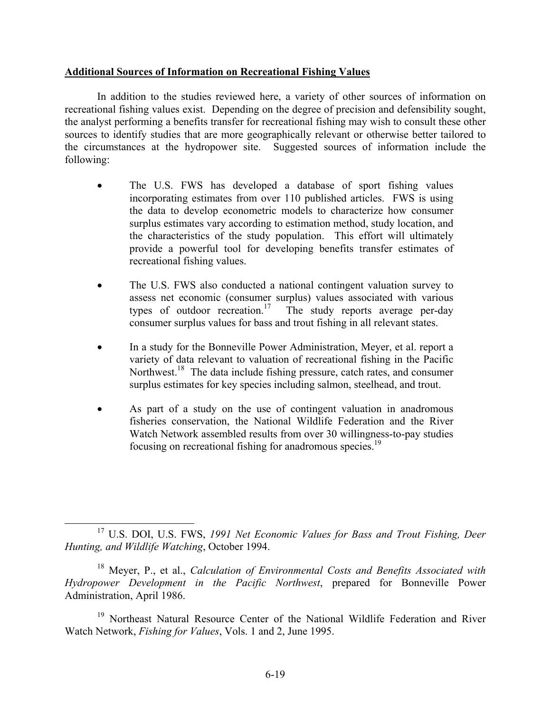# **Additional Sources of Information on Recreational Fishing Values**

In addition to the studies reviewed here, a variety of other sources of information on recreational fishing values exist. Depending on the degree of precision and defensibility sought, the analyst performing a benefits transfer for recreational fishing may wish to consult these other sources to identify studies that are more geographically relevant or otherwise better tailored to the circumstances at the hydropower site. Suggested sources of information include the following:

- The U.S. FWS has developed a database of sport fishing values incorporating estimates from over 110 published articles. FWS is using the data to develop econometric models to characterize how consumer surplus estimates vary according to estimation method, study location, and the characteristics of the study population. This effort will ultimately provide a powerful tool for developing benefits transfer estimates of recreational fishing values.
- The U.S. FWS also conducted a national contingent valuation survey to assess net economic (consumer surplus) values associated with various types of outdoor recreation.<sup>17</sup> The study reports average per-day consumer surplus values for bass and trout fishing in all relevant states.
- In a study for the Bonneville Power Administration, Meyer, et al. report a variety of data relevant to valuation of recreational fishing in the Pacific Northwest.<sup>18</sup> The data include fishing pressure, catch rates, and consumer surplus estimates for key species including salmon, steelhead, and trout.
- As part of a study on the use of contingent valuation in anadromous fisheries conservation, the National Wildlife Federation and the River Watch Network assembled results from over 30 willingness-to-pay studies focusing on recreational fishing for anadromous species.<sup>19</sup>

 <sup>17</sup> U.S. DOI, U.S. FWS, *1991 Net Economic Values for Bass and Trout Fishing, Deer Hunting, and Wildlife Watching*, October 1994.

<sup>18</sup> Meyer, P., et al., *Calculation of Environmental Costs and Benefits Associated with Hydropower Development in the Pacific Northwest*, prepared for Bonneville Power Administration, April 1986.

<sup>&</sup>lt;sup>19</sup> Northeast Natural Resource Center of the National Wildlife Federation and River Watch Network, *Fishing for Values*, Vols. 1 and 2, June 1995.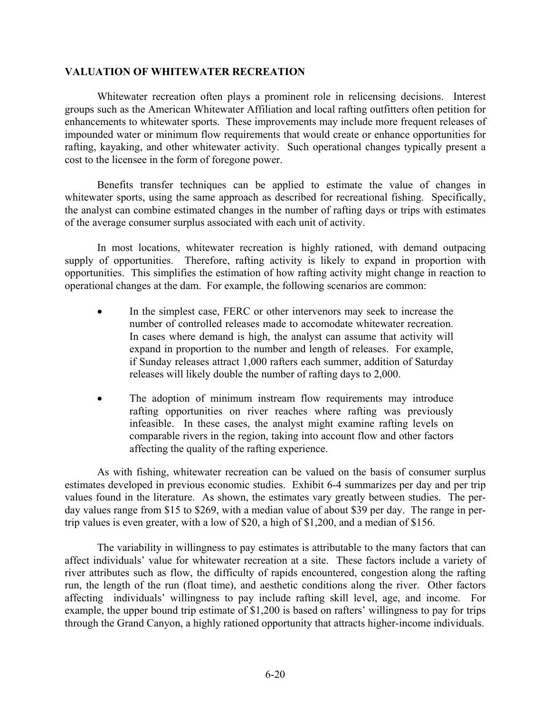### **VALUATION OF WHITEWATER RECREATION**

Whitewater recreation often plays a prominent role in relicensing decisions. Interest groups such as the American Whitewater Affiliation and local rafting outfitters often petition for enhancements to whitewater sports. These improvements may include more frequent releases of impounded water or minimum flow requirements that would create or enhance opportunities for rafting, kayaking, and other whitewater activity. Such operational changes typically present a cost to the licensee in the form of foregone power.

 Benefits transfer techniques can be applied to estimate the value of changes in whitewater sports, using the same approach as described for recreational fishing. Specifically, the analyst can combine estimated changes in the number of rafting days or trips with estimates of the average consumer surplus associated with each unit of activity.

In most locations, whitewater recreation is highly rationed, with demand outpacing supply of opportunities. Therefore, rafting activity is likely to expand in proportion with opportunities. This simplifies the estimation of how rafting activity might change in reaction to operational changes at the dam. For example, the following scenarios are common:

- In the simplest case, FERC or other intervenors may seek to increase the number of controlled releases made to accomodate whitewater recreation. In cases where demand is high, the analyst can assume that activity will expand in proportion to the number and length of releases. For example, if Sunday releases attract 1,000 rafters each summer, addition of Saturday releases will likely double the number of rafting days to 2,000.
- The adoption of minimum instream flow requirements may introduce rafting opportunities on river reaches where rafting was previously infeasible. In these cases, the analyst might examine rafting levels on comparable rivers in the region, taking into account flow and other factors affecting the quality of the rafting experience.

 As with fishing, whitewater recreation can be valued on the basis of consumer surplus estimates developed in previous economic studies. Exhibit 6-4 summarizes per day and per trip values found in the literature. As shown, the estimates vary greatly between studies. The perday values range from \$15 to \$269, with a median value of about \$39 per day. The range in pertrip values is even greater, with a low of \$20, a high of \$1,200, and a median of \$156.

The variability in willingness to pay estimates is attributable to the many factors that can affect individuals' value for whitewater recreation at a site. These factors include a variety of river attributes such as flow, the difficulty of rapids encountered, congestion along the rafting run, the length of the run (float time), and aesthetic conditions along the river. Other factors affecting individuals' willingness to pay include rafting skill level, age, and income. For example, the upper bound trip estimate of \$1,200 is based on rafters' willingness to pay for trips through the Grand Canyon, a highly rationed opportunity that attracts higher-income individuals.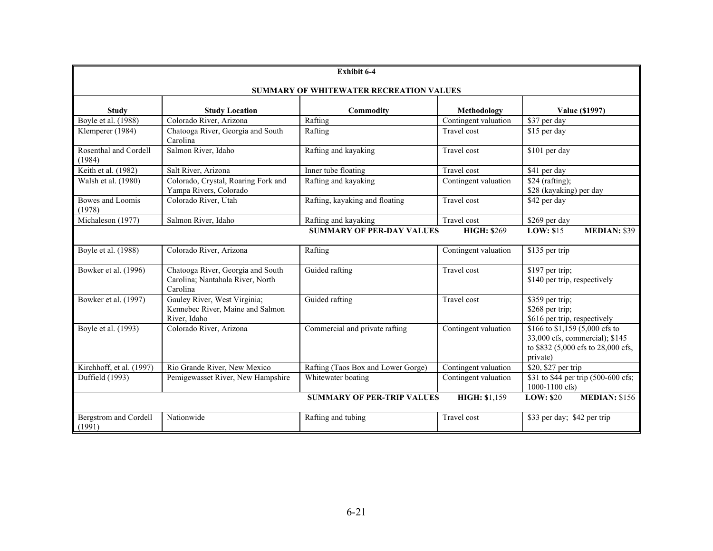| <b>Exhibit 6-4</b>                                                                                |                                                                                   |                                    |                      |                                                                                                                    |  |  |  |  |  |
|---------------------------------------------------------------------------------------------------|-----------------------------------------------------------------------------------|------------------------------------|----------------------|--------------------------------------------------------------------------------------------------------------------|--|--|--|--|--|
|                                                                                                   | SUMMARY OF WHITEWATER RECREATION VALUES                                           |                                    |                      |                                                                                                                    |  |  |  |  |  |
|                                                                                                   |                                                                                   |                                    |                      |                                                                                                                    |  |  |  |  |  |
| <b>Study</b>                                                                                      | <b>Study Location</b>                                                             | Commodity                          | Methodology          | <b>Value (\$1997)</b>                                                                                              |  |  |  |  |  |
| Boyle et al. (1988)                                                                               | Colorado River, Arizona                                                           | Rafting                            | Contingent valuation | \$37 per day                                                                                                       |  |  |  |  |  |
| Klemperer (1984)                                                                                  | Chatooga River, Georgia and South<br>Carolina                                     | Rafting                            | Travel cost          | \$15 per day                                                                                                       |  |  |  |  |  |
| Rosenthal and Cordell<br>(1984)                                                                   | Salmon River, Idaho                                                               | Rafting and kayaking               | Travel cost          | \$101 per day                                                                                                      |  |  |  |  |  |
| Keith et al. (1982)                                                                               | Salt River, Arizona                                                               | Inner tube floating                | Travel cost          | \$41 per day                                                                                                       |  |  |  |  |  |
| Walsh et al. (1980)                                                                               | Colorado, Crystal, Roaring Fork and<br>Yampa Rivers, Colorado                     | Rafting and kayaking               | Contingent valuation | \$24 (rafting);<br>\$28 (kayaking) per day                                                                         |  |  |  |  |  |
| Bowes and Loomis<br>(1978)                                                                        | Colorado River, Utah                                                              | Rafting, kayaking and floating     | Travel cost          | \$42 per day                                                                                                       |  |  |  |  |  |
| Michaleson (1977)                                                                                 | Salmon River, Idaho                                                               | Rafting and kayaking               | Travel cost          | \$269 per day                                                                                                      |  |  |  |  |  |
| <b>SUMMARY OF PER-DAY VALUES</b><br><b>HIGH: \$269</b><br><b>LOW: \$15</b><br><b>MEDIAN: \$39</b> |                                                                                   |                                    |                      |                                                                                                                    |  |  |  |  |  |
| Boyle et al. (1988)                                                                               | Colorado River, Arizona                                                           | Rafting                            | Contingent valuation | \$135 per trip                                                                                                     |  |  |  |  |  |
| Bowker et al. (1996)                                                                              | Chatooga River, Georgia and South<br>Carolina; Nantahala River, North<br>Carolina | Guided rafting                     | Travel cost          | \$197 per trip;<br>\$140 per trip, respectively                                                                    |  |  |  |  |  |
| Bowker et al. (1997)                                                                              | Gauley River, West Virginia;<br>Kennebec River, Maine and Salmon<br>River, Idaho  | Guided rafting                     | Travel cost          | \$359 per trip;<br>\$268 per trip;<br>\$616 per trip, respectively                                                 |  |  |  |  |  |
| Boyle et al. (1993)                                                                               | Colorado River, Arizona                                                           | Commercial and private rafting     | Contingent valuation | \$166 to \$1,159 (5,000 cfs to<br>33,000 cfs, commercial); \$145<br>to \$832 (5,000 cfs to 28,000 cfs,<br>private) |  |  |  |  |  |
| Kirchhoff, et al. (1997)                                                                          | Rio Grande River, New Mexico                                                      | Rafting (Taos Box and Lower Gorge) | Contingent valuation | \$20, \$27 per trip                                                                                                |  |  |  |  |  |
| Duffield (1993)                                                                                   | Pemigewasset River, New Hampshire                                                 | Whitewater boating                 | Contingent valuation | \$31 to \$44 per trip (500-600 cfs;<br>$1000 - 1100$ cfs)                                                          |  |  |  |  |  |
|                                                                                                   |                                                                                   | <b>SUMMARY OF PER-TRIP VALUES</b>  | HIGH: \$1,159        | <b>MEDIAN: \$156</b><br>LOW: \$20                                                                                  |  |  |  |  |  |
| <b>Bergstrom</b> and Cordell<br>(1991)                                                            | Nationwide                                                                        | Rafting and tubing                 | Travel cost          | \$33 per day; \$42 per trip                                                                                        |  |  |  |  |  |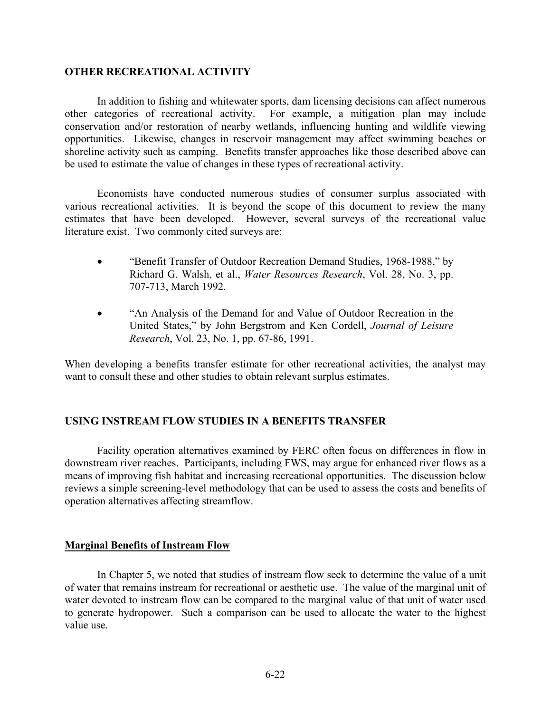### **OTHER RECREATIONAL ACTIVITY**

 In addition to fishing and whitewater sports, dam licensing decisions can affect numerous other categories of recreational activity. For example, a mitigation plan may include conservation and/or restoration of nearby wetlands, influencing hunting and wildlife viewing opportunities. Likewise, changes in reservoir management may affect swimming beaches or shoreline activity such as camping. Benefits transfer approaches like those described above can be used to estimate the value of changes in these types of recreational activity.

 Economists have conducted numerous studies of consumer surplus associated with various recreational activities. It is beyond the scope of this document to review the many estimates that have been developed. However, several surveys of the recreational value literature exist. Two commonly cited surveys are:

- "Benefit Transfer of Outdoor Recreation Demand Studies, 1968-1988," by Richard G. Walsh, et al., *Water Resources Research*, Vol. 28, No. 3, pp. 707-713, March 1992.
- "An Analysis of the Demand for and Value of Outdoor Recreation in the United States," by John Bergstrom and Ken Cordell, *Journal of Leisure Research*, Vol. 23, No. 1, pp. 67-86, 1991.

When developing a benefits transfer estimate for other recreational activities, the analyst may want to consult these and other studies to obtain relevant surplus estimates.

### **USING INSTREAM FLOW STUDIES IN A BENEFITS TRANSFER**

 Facility operation alternatives examined by FERC often focus on differences in flow in downstream river reaches. Participants, including FWS, may argue for enhanced river flows as a means of improving fish habitat and increasing recreational opportunities. The discussion below reviews a simple screening-level methodology that can be used to assess the costs and benefits of operation alternatives affecting streamflow.

### **Marginal Benefits of Instream Flow**

 In Chapter 5, we noted that studies of instream flow seek to determine the value of a unit of water that remains instream for recreational or aesthetic use. The value of the marginal unit of water devoted to instream flow can be compared to the marginal value of that unit of water used to generate hydropower. Such a comparison can be used to allocate the water to the highest value use.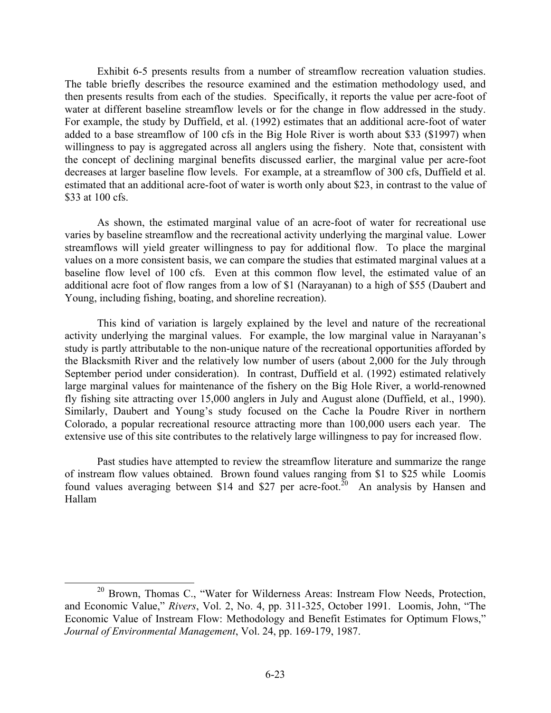Exhibit 6-5 presents results from a number of streamflow recreation valuation studies. The table briefly describes the resource examined and the estimation methodology used, and then presents results from each of the studies. Specifically, it reports the value per acre-foot of water at different baseline streamflow levels or for the change in flow addressed in the study. For example, the study by Duffield, et al. (1992) estimates that an additional acre-foot of water added to a base streamflow of 100 cfs in the Big Hole River is worth about \$33 (\$1997) when willingness to pay is aggregated across all anglers using the fishery. Note that, consistent with the concept of declining marginal benefits discussed earlier, the marginal value per acre-foot decreases at larger baseline flow levels. For example, at a streamflow of 300 cfs, Duffield et al. estimated that an additional acre-foot of water is worth only about \$23, in contrast to the value of \$33 at 100 cfs.

 As shown, the estimated marginal value of an acre-foot of water for recreational use varies by baseline streamflow and the recreational activity underlying the marginal value. Lower streamflows will yield greater willingness to pay for additional flow. To place the marginal values on a more consistent basis, we can compare the studies that estimated marginal values at a baseline flow level of 100 cfs. Even at this common flow level, the estimated value of an additional acre foot of flow ranges from a low of \$1 (Narayanan) to a high of \$55 (Daubert and Young, including fishing, boating, and shoreline recreation).

 This kind of variation is largely explained by the level and nature of the recreational activity underlying the marginal values. For example, the low marginal value in Narayanan's study is partly attributable to the non-unique nature of the recreational opportunities afforded by the Blacksmith River and the relatively low number of users (about 2,000 for the July through September period under consideration). In contrast, Duffield et al. (1992) estimated relatively large marginal values for maintenance of the fishery on the Big Hole River, a world-renowned fly fishing site attracting over 15,000 anglers in July and August alone (Duffield, et al., 1990). Similarly, Daubert and Young's study focused on the Cache la Poudre River in northern Colorado, a popular recreational resource attracting more than 100,000 users each year. The extensive use of this site contributes to the relatively large willingness to pay for increased flow.

Past studies have attempted to review the streamflow literature and summarize the range of instream flow values obtained. Brown found values ranging from \$1 to \$25 while Loomis found values averaging between \$14 and \$27 per acre-foot.<sup>20</sup> An analysis by Hansen and Hallam

<sup>&</sup>lt;sup>20</sup> Brown, Thomas C., "Water for Wilderness Areas: Instream Flow Needs, Protection, and Economic Value," *Rivers*, Vol. 2, No. 4, pp. 311-325, October 1991. Loomis, John, "The Economic Value of Instream Flow: Methodology and Benefit Estimates for Optimum Flows," *Journal of Environmental Management*, Vol. 24, pp. 169-179, 1987.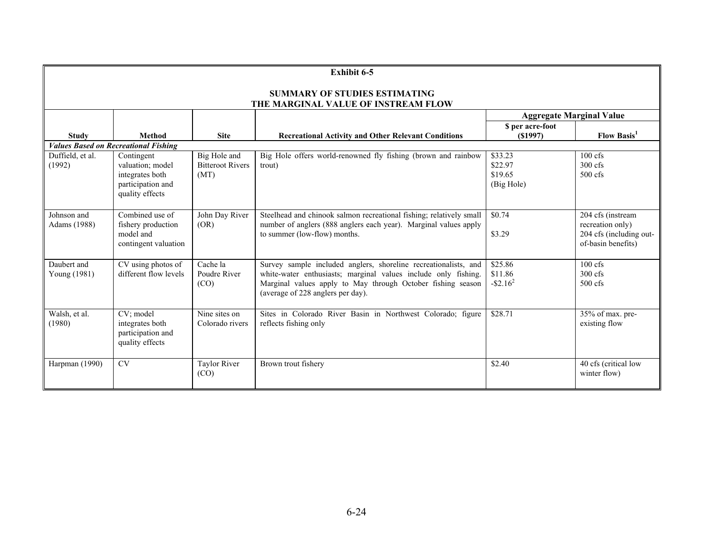|                                                                             | <b>Exhibit 6-5</b>                                                                        |                                                 |                                                                                                                                                                                                                                       |                                               |                                                                                        |  |  |
|-----------------------------------------------------------------------------|-------------------------------------------------------------------------------------------|-------------------------------------------------|---------------------------------------------------------------------------------------------------------------------------------------------------------------------------------------------------------------------------------------|-----------------------------------------------|----------------------------------------------------------------------------------------|--|--|
| <b>SUMMARY OF STUDIES ESTIMATING</b><br>THE MARGINAL VALUE OF INSTREAM FLOW |                                                                                           |                                                 |                                                                                                                                                                                                                                       |                                               |                                                                                        |  |  |
| <b>Aggregate Marginal Value</b>                                             |                                                                                           |                                                 |                                                                                                                                                                                                                                       |                                               |                                                                                        |  |  |
| <b>Study</b>                                                                | <b>Method</b>                                                                             | <b>Site</b>                                     | <b>Recreational Activity and Other Relevant Conditions</b>                                                                                                                                                                            | \$ per acre-foot<br>(S1997)                   | <b>Flow Basis</b> <sup>1</sup>                                                         |  |  |
|                                                                             | <b>Values Based on Recreational Fishing</b>                                               |                                                 |                                                                                                                                                                                                                                       |                                               |                                                                                        |  |  |
| Duffield, et al.<br>(1992)                                                  | Contingent<br>valuation; model<br>integrates both<br>participation and<br>quality effects | Big Hole and<br><b>Bitteroot Rivers</b><br>(MT) | Big Hole offers world-renowned fly fishing (brown and rainbow<br>trout)                                                                                                                                                               | \$33.23<br>\$22.97<br>\$19.65<br>(Big Hole)   | $100$ cfs<br>$300 \text{ cfs}$<br>$500 \text{ cfs}$                                    |  |  |
| Johnson and<br>Adams (1988)                                                 | Combined use of<br>fishery production<br>model and<br>contingent valuation                | John Day River<br>(OR)                          | Steelhead and chinook salmon recreational fishing; relatively small<br>number of anglers (888 anglers each year). Marginal values apply<br>to summer (low-flow) months.                                                               | \$0.74<br>\$3.29                              | 204 cfs (instream<br>recreation only)<br>204 cfs (including out-<br>of-basin benefits) |  |  |
| Daubert and<br>Young (1981)                                                 | CV using photos of<br>different flow levels                                               | Cache la<br>Poudre River<br>(CO)                | Survey sample included anglers, shoreline recreationalists, and<br>white-water enthusiasts; marginal values include only fishing.<br>Marginal values apply to May through October fishing season<br>(average of 228 anglers per day). | \$25.86<br>\$11.86<br>$-$ \$2.16 <sup>2</sup> | $100 \text{ cfs}$<br>$300 \text{ cfs}$<br>$500 \text{ cfs}$                            |  |  |
| Walsh, et al.<br>(1980)                                                     | CV; model<br>integrates both<br>participation and<br>quality effects                      | Nine sites on<br>Colorado rivers                | Sites in Colorado River Basin in Northwest Colorado; figure<br>reflects fishing only                                                                                                                                                  | \$28.71                                       | $35%$ of max. pre-<br>existing flow                                                    |  |  |
| Harpman (1990)                                                              | <b>CV</b>                                                                                 | <b>Taylor River</b><br>(CO)                     | Brown trout fishery                                                                                                                                                                                                                   | \$2.40                                        | 40 cfs (critical low<br>winter flow)                                                   |  |  |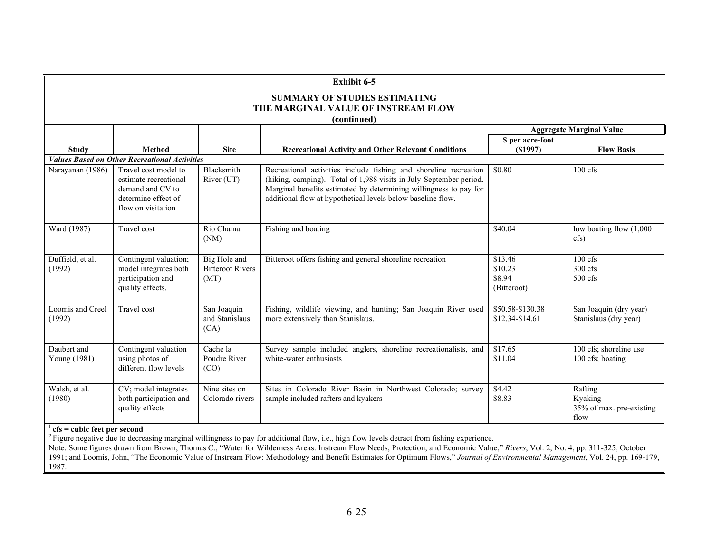|                                                                                            | <b>Exhibit 6-5</b>                                                                                             |                                                 |                                                                                                                                                                                                                                                                            |                                             |                                                        |  |  |
|--------------------------------------------------------------------------------------------|----------------------------------------------------------------------------------------------------------------|-------------------------------------------------|----------------------------------------------------------------------------------------------------------------------------------------------------------------------------------------------------------------------------------------------------------------------------|---------------------------------------------|--------------------------------------------------------|--|--|
| <b>SUMMARY OF STUDIES ESTIMATING</b><br>THE MARGINAL VALUE OF INSTREAM FLOW<br>(continued) |                                                                                                                |                                                 |                                                                                                                                                                                                                                                                            |                                             |                                                        |  |  |
|                                                                                            | <b>Aggregate Marginal Value</b>                                                                                |                                                 |                                                                                                                                                                                                                                                                            |                                             |                                                        |  |  |
| <b>Study</b>                                                                               | <b>Method</b>                                                                                                  | <b>Site</b>                                     | <b>Recreational Activity and Other Relevant Conditions</b>                                                                                                                                                                                                                 | \$ per acre-foot<br>$($ \$1997 $)$          | <b>Flow Basis</b>                                      |  |  |
|                                                                                            | <b>Values Based on Other Recreational Activities</b>                                                           |                                                 |                                                                                                                                                                                                                                                                            |                                             |                                                        |  |  |
| Narayanan (1986)                                                                           | Travel cost model to<br>estimate recreational<br>demand and CV to<br>determine effect of<br>flow on visitation | Blacksmith<br>River (UT)                        | Recreational activities include fishing and shoreline recreation<br>(hiking, camping). Total of 1,988 visits in July-September period.<br>Marginal benefits estimated by determining willingness to pay for<br>additional flow at hypothetical levels below baseline flow. | \$0.80                                      | 100 cfs                                                |  |  |
| Ward (1987)                                                                                | Travel cost                                                                                                    | Rio Chama<br>(NM)                               | Fishing and boating                                                                                                                                                                                                                                                        | \$40.04                                     | low boating flow (1,000<br>cfs)                        |  |  |
| Duffield, et al.<br>(1992)                                                                 | Contingent valuation;<br>model integrates both<br>participation and<br>quality effects.                        | Big Hole and<br><b>Bitteroot Rivers</b><br>(MT) | Bitteroot offers fishing and general shoreline recreation                                                                                                                                                                                                                  | \$13.46<br>\$10.23<br>\$8.94<br>(Bitteroot) | $100$ cfs<br>300 cfs<br>$500$ cfs                      |  |  |
| Loomis and Creel<br>(1992)                                                                 | Travel cost                                                                                                    | San Joaquin<br>and Stanislaus<br>(CA)           | Fishing, wildlife viewing, and hunting; San Joaquin River used<br>more extensively than Stanislaus.                                                                                                                                                                        | \$50.58-\$130.38<br>\$12.34-\$14.61         | San Joaquin (dry year)<br>Stanislaus (dry year)        |  |  |
| Daubert and<br>Young (1981)                                                                | Contingent valuation<br>using photos of<br>different flow levels                                               | Cache la<br>Poudre River<br>(CO)                | Survey sample included anglers, shoreline recreationalists, and<br>white-water enthusiasts                                                                                                                                                                                 | \$17.65<br>\$11.04                          | 100 cfs; shoreline use<br>100 cfs; boating             |  |  |
| Walsh, et al.<br>(1980)<br>$\mathbf{r}$ . $\mathbf{r}$<br>$\epsilon$                       | CV; model integrates<br>both participation and<br>quality effects                                              | Nine sites on<br>Colorado rivers                | Sites in Colorado River Basin in Northwest Colorado; survey<br>sample included rafters and kyakers                                                                                                                                                                         | \$4.42<br>\$8.83                            | Rafting<br>Kyaking<br>35% of max. pre-existing<br>flow |  |  |

#### **1 cfs = cubic feet per second**

<sup>2</sup> Figure negative due to decreasing marginal willingness to pay for additional flow, i.e., high flow levels detract from fishing experience.

Note: Some figures drawn from Brown, Thomas C., "Water for Wilderness Areas: Instream Flow Needs, Protection, and Economic Value," *Rivers*, Vol. 2, No. 4, pp. 311-325, October 1991; and Loomis, John, "The Economic Value of Instream Flow: Methodology and Benefit Estimates for Optimum Flows," *Journal of Environmental Management*, Vol. 24, pp. 169-179, 1987.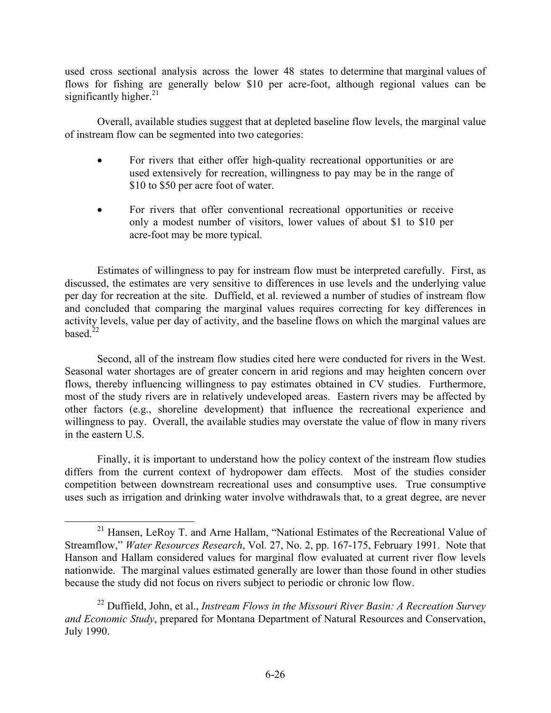used cross sectional analysis across the lower 48 states to determine that marginal values of flows for fishing are generally below \$10 per acre-foot, although regional values can be significantly higher. $^{21}$ 

Overall, available studies suggest that at depleted baseline flow levels, the marginal value of instream flow can be segmented into two categories:

- For rivers that either offer high-quality recreational opportunities or are used extensively for recreation, willingness to pay may be in the range of \$10 to \$50 per acre foot of water.
- For rivers that offer conventional recreational opportunities or receive only a modest number of visitors, lower values of about \$1 to \$10 per acre-foot may be more typical.

Estimates of willingness to pay for instream flow must be interpreted carefully. First, as discussed, the estimates are very sensitive to differences in use levels and the underlying value per day for recreation at the site. Duffield, et al. reviewed a number of studies of instream flow and concluded that comparing the marginal values requires correcting for key differences in activity levels, value per day of activity, and the baseline flows on which the marginal values are based $22$ 

Second, all of the instream flow studies cited here were conducted for rivers in the West. Seasonal water shortages are of greater concern in arid regions and may heighten concern over flows, thereby influencing willingness to pay estimates obtained in CV studies. Furthermore, most of the study rivers are in relatively undeveloped areas. Eastern rivers may be affected by other factors (e.g., shoreline development) that influence the recreational experience and willingness to pay. Overall, the available studies may overstate the value of flow in many rivers in the eastern U.S.

Finally, it is important to understand how the policy context of the instream flow studies differs from the current context of hydropower dam effects. Most of the studies consider competition between downstream recreational uses and consumptive uses. True consumptive uses such as irrigation and drinking water involve withdrawals that, to a great degree, are never

 <sup>21</sup> Hansen, LeRoy T. and Arne Hallam, "National Estimates of the Recreational Value of Streamflow," *Water Resources Research*, Vol. 27, No. 2, pp. 167-175, February 1991. Note that Hanson and Hallam considered values for marginal flow evaluated at current river flow levels nationwide. The marginal values estimated generally are lower than those found in other studies because the study did not focus on rivers subject to periodic or chronic low flow.

<sup>22</sup> Duffield, John, et al., *Instream Flows in the Missouri River Basin: A Recreation Survey and Economic Study*, prepared for Montana Department of Natural Resources and Conservation, July 1990.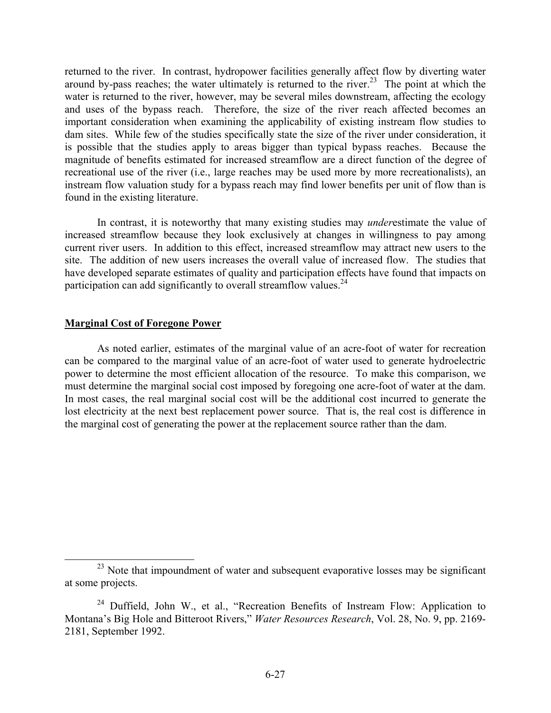returned to the river. In contrast, hydropower facilities generally affect flow by diverting water around by-pass reaches; the water ultimately is returned to the river.<sup>23</sup> The point at which the water is returned to the river, however, may be several miles downstream, affecting the ecology and uses of the bypass reach. Therefore, the size of the river reach affected becomes an important consideration when examining the applicability of existing instream flow studies to dam sites. While few of the studies specifically state the size of the river under consideration, it is possible that the studies apply to areas bigger than typical bypass reaches. Because the magnitude of benefits estimated for increased streamflow are a direct function of the degree of recreational use of the river (i.e., large reaches may be used more by more recreationalists), an instream flow valuation study for a bypass reach may find lower benefits per unit of flow than is found in the existing literature.

In contrast, it is noteworthy that many existing studies may *under*estimate the value of increased streamflow because they look exclusively at changes in willingness to pay among current river users. In addition to this effect, increased streamflow may attract new users to the site. The addition of new users increases the overall value of increased flow. The studies that have developed separate estimates of quality and participation effects have found that impacts on participation can add significantly to overall streamflow values.  $24$ 

### **Marginal Cost of Foregone Power**

 As noted earlier, estimates of the marginal value of an acre-foot of water for recreation can be compared to the marginal value of an acre-foot of water used to generate hydroelectric power to determine the most efficient allocation of the resource. To make this comparison, we must determine the marginal social cost imposed by foregoing one acre-foot of water at the dam. In most cases, the real marginal social cost will be the additional cost incurred to generate the lost electricity at the next best replacement power source. That is, the real cost is difference in the marginal cost of generating the power at the replacement source rather than the dam.

<sup>&</sup>lt;sup>23</sup> Note that impoundment of water and subsequent evaporative losses may be significant at some projects.

<sup>&</sup>lt;sup>24</sup> Duffield, John W., et al., "Recreation Benefits of Instream Flow: Application to Montana's Big Hole and Bitteroot Rivers," *Water Resources Research*, Vol. 28, No. 9, pp. 2169- 2181, September 1992.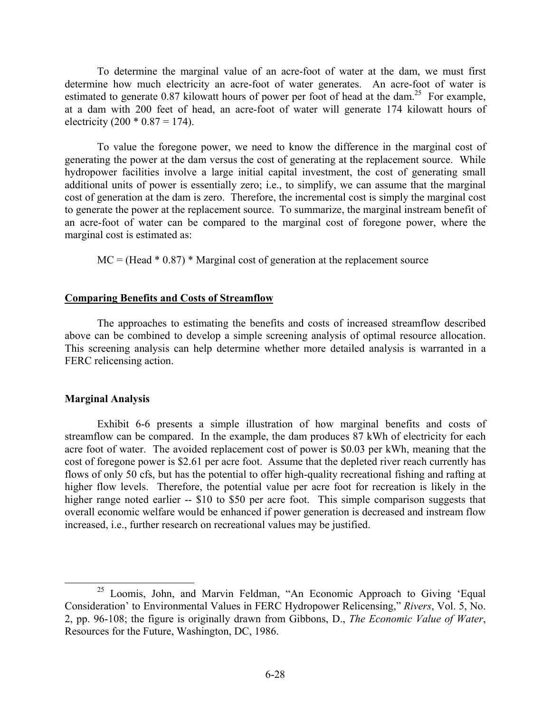To determine the marginal value of an acre-foot of water at the dam, we must first determine how much electricity an acre-foot of water generates. An acre-foot of water is estimated to generate 0.87 kilowatt hours of power per foot of head at the dam.<sup>25</sup> For example, at a dam with 200 feet of head, an acre-foot of water will generate 174 kilowatt hours of electricity (200  $*$  0.87 = 174).

 To value the foregone power, we need to know the difference in the marginal cost of generating the power at the dam versus the cost of generating at the replacement source. While hydropower facilities involve a large initial capital investment, the cost of generating small additional units of power is essentially zero; i.e., to simplify, we can assume that the marginal cost of generation at the dam is zero. Therefore, the incremental cost is simply the marginal cost to generate the power at the replacement source. To summarize, the marginal instream benefit of an acre-foot of water can be compared to the marginal cost of foregone power, where the marginal cost is estimated as:

 $MC = (Head * 0.87) * Marginal cost of generation at the replacement source$ 

### **Comparing Benefits and Costs of Streamflow**

 The approaches to estimating the benefits and costs of increased streamflow described above can be combined to develop a simple screening analysis of optimal resource allocation. This screening analysis can help determine whether more detailed analysis is warranted in a FERC relicensing action.

#### **Marginal Analysis**

 Exhibit 6-6 presents a simple illustration of how marginal benefits and costs of streamflow can be compared. In the example, the dam produces 87 kWh of electricity for each acre foot of water. The avoided replacement cost of power is \$0.03 per kWh, meaning that the cost of foregone power is \$2.61 per acre foot. Assume that the depleted river reach currently has flows of only 50 cfs, but has the potential to offer high-quality recreational fishing and rafting at higher flow levels. Therefore, the potential value per acre foot for recreation is likely in the higher range noted earlier -- \$10 to \$50 per acre foot. This simple comparison suggests that overall economic welfare would be enhanced if power generation is decreased and instream flow increased, i.e., further research on recreational values may be justified.

<sup>&</sup>lt;sup>25</sup> Loomis, John, and Marvin Feldman, "An Economic Approach to Giving 'Equal Consideration' to Environmental Values in FERC Hydropower Relicensing," *Rivers*, Vol. 5, No. 2, pp. 96-108; the figure is originally drawn from Gibbons, D., *The Economic Value of Water*, Resources for the Future, Washington, DC, 1986.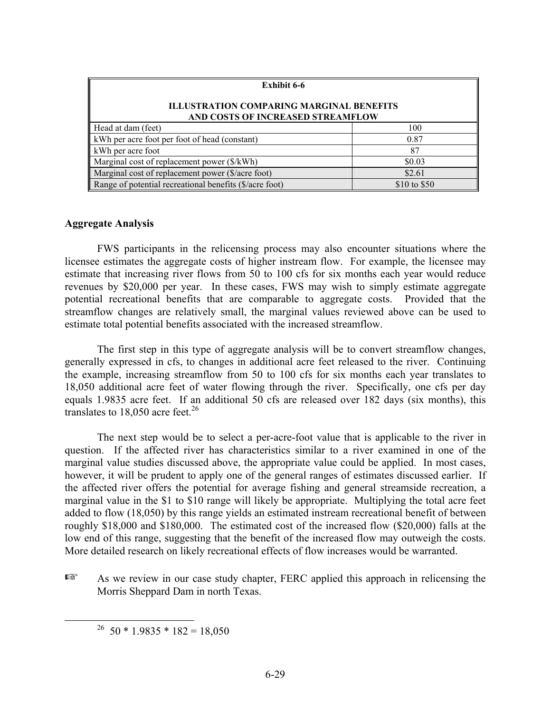| <b>Exhibit 6-6</b>                                                                   |              |  |  |  |  |  |
|--------------------------------------------------------------------------------------|--------------|--|--|--|--|--|
| <b>ILLUSTRATION COMPARING MARGINAL BENEFITS</b><br>AND COSTS OF INCREASED STREAMFLOW |              |  |  |  |  |  |
| Head at dam (feet)                                                                   | 100          |  |  |  |  |  |
| kWh per acre foot per foot of head (constant)                                        | 0.87         |  |  |  |  |  |
| kWh per acre foot                                                                    | 87           |  |  |  |  |  |
| Marginal cost of replacement power (\$/kWh)                                          | \$0.03       |  |  |  |  |  |
| Marginal cost of replacement power (\$/acre foot)                                    | \$2.61       |  |  |  |  |  |
| Range of potential recreational benefits (\$/acre foot)                              | \$10 to \$50 |  |  |  |  |  |

### **Aggregate Analysis**

 FWS participants in the relicensing process may also encounter situations where the licensee estimates the aggregate costs of higher instream flow. For example, the licensee may estimate that increasing river flows from 50 to 100 cfs for six months each year would reduce revenues by \$20,000 per year. In these cases, FWS may wish to simply estimate aggregate potential recreational benefits that are comparable to aggregate costs. Provided that the streamflow changes are relatively small, the marginal values reviewed above can be used to estimate total potential benefits associated with the increased streamflow.

 The first step in this type of aggregate analysis will be to convert streamflow changes, generally expressed in cfs, to changes in additional acre feet released to the river. Continuing the example, increasing streamflow from 50 to 100 cfs for six months each year translates to 18,050 additional acre feet of water flowing through the river. Specifically, one cfs per day equals 1.9835 acre feet. If an additional 50 cfs are released over 182 days (six months), this translates to 18,050 acre feet.<sup>26</sup>

 The next step would be to select a per-acre-foot value that is applicable to the river in question. If the affected river has characteristics similar to a river examined in one of the marginal value studies discussed above, the appropriate value could be applied. In most cases, however, it will be prudent to apply one of the general ranges of estimates discussed earlier. If the affected river offers the potential for average fishing and general streamside recreation, a marginal value in the \$1 to \$10 range will likely be appropriate. Multiplying the total acre feet added to flow (18,050) by this range yields an estimated instream recreational benefit of between roughly \$18,000 and \$180,000. The estimated cost of the increased flow (\$20,000) falls at the low end of this range, suggesting that the benefit of the increased flow may outweigh the costs. More detailed research on likely recreational effects of flow increases would be warranted.

**Example 3** As we review in our case study chapter, FERC applied this approach in relicensing the Morris Sheppard Dam in north Texas.

<sup>&</sup>lt;sup>26</sup> 50 \* 1.9835 \* 182 = 18,050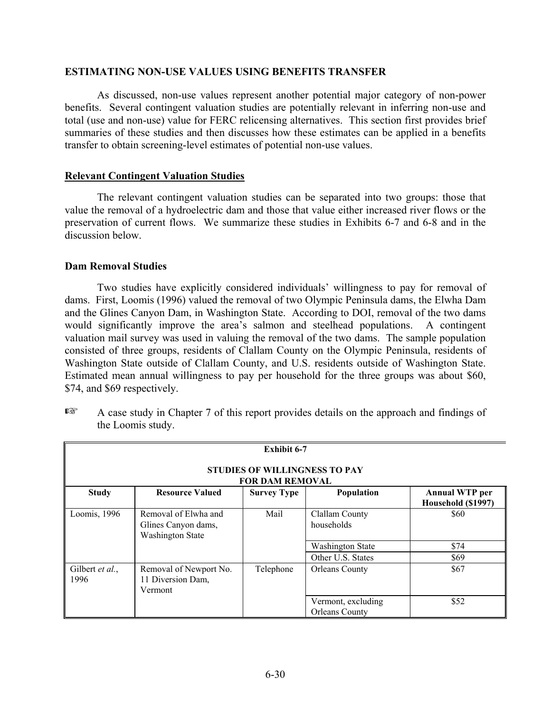### **ESTIMATING NON-USE VALUES USING BENEFITS TRANSFER**

As discussed, non-use values represent another potential major category of non-power benefits. Several contingent valuation studies are potentially relevant in inferring non-use and total (use and non-use) value for FERC relicensing alternatives. This section first provides brief summaries of these studies and then discusses how these estimates can be applied in a benefits transfer to obtain screening-level estimates of potential non-use values.

### **Relevant Contingent Valuation Studies**

The relevant contingent valuation studies can be separated into two groups: those that value the removal of a hydroelectric dam and those that value either increased river flows or the preservation of current flows. We summarize these studies in Exhibits 6-7 and 6-8 and in the discussion below.

### **Dam Removal Studies**

Two studies have explicitly considered individuals' willingness to pay for removal of dams. First, Loomis (1996) valued the removal of two Olympic Peninsula dams, the Elwha Dam and the Glines Canyon Dam, in Washington State. According to DOI, removal of the two dams would significantly improve the area's salmon and steelhead populations. A contingent valuation mail survey was used in valuing the removal of the two dams. The sample population consisted of three groups, residents of Clallam County on the Olympic Peninsula, residents of Washington State outside of Clallam County, and U.S. residents outside of Washington State. Estimated mean annual willingness to pay per household for the three groups was about \$60, \$74, and \$69 respectively.

| Exhibit 6-7                                                    |                                                                        |                    |                                             |                                             |  |  |  |
|----------------------------------------------------------------|------------------------------------------------------------------------|--------------------|---------------------------------------------|---------------------------------------------|--|--|--|
| <b>STUDIES OF WILLINGNESS TO PAY</b><br><b>FOR DAM REMOVAL</b> |                                                                        |                    |                                             |                                             |  |  |  |
| <b>Study</b>                                                   | <b>Resource Valued</b>                                                 | <b>Survey Type</b> | Population                                  | <b>Annual WTP</b> per<br>Household (\$1997) |  |  |  |
| Loomis, 1996                                                   | Removal of Elwha and<br>Glines Canyon dams,<br><b>Washington State</b> | Mail               | Clallam County<br>households                | \$60                                        |  |  |  |
|                                                                |                                                                        |                    | <b>Washington State</b>                     | \$74                                        |  |  |  |
|                                                                |                                                                        |                    | Other U.S. States                           | \$69                                        |  |  |  |
| Gilbert et al.,<br>1996                                        | Removal of Newport No.<br>11 Diversion Dam,<br>Vermont                 | Telephone          | <b>Orleans County</b>                       | \$67                                        |  |  |  |
|                                                                |                                                                        |                    | Vermont, excluding<br><b>Orleans County</b> | \$52                                        |  |  |  |

 $E^*$  A case study in Chapter 7 of this report provides details on the approach and findings of the Loomis study.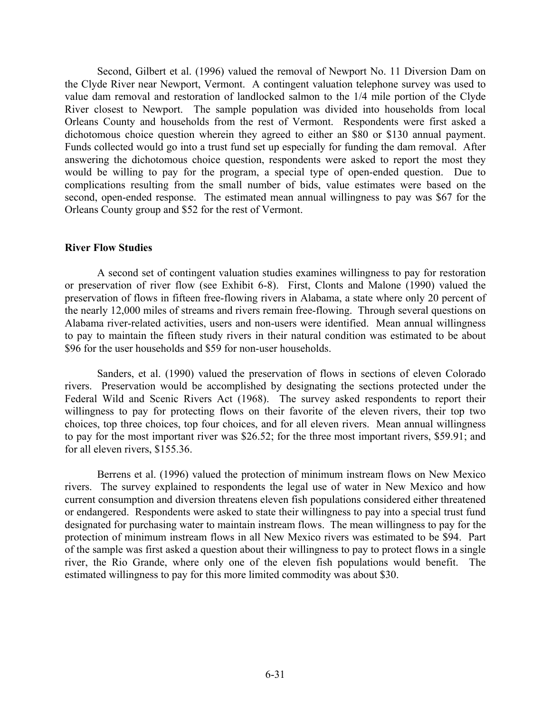Second, Gilbert et al. (1996) valued the removal of Newport No. 11 Diversion Dam on the Clyde River near Newport, Vermont. A contingent valuation telephone survey was used to value dam removal and restoration of landlocked salmon to the 1/4 mile portion of the Clyde River closest to Newport. The sample population was divided into households from local Orleans County and households from the rest of Vermont. Respondents were first asked a dichotomous choice question wherein they agreed to either an \$80 or \$130 annual payment. Funds collected would go into a trust fund set up especially for funding the dam removal. After answering the dichotomous choice question, respondents were asked to report the most they would be willing to pay for the program, a special type of open-ended question. Due to complications resulting from the small number of bids, value estimates were based on the second, open-ended response. The estimated mean annual willingness to pay was \$67 for the Orleans County group and \$52 for the rest of Vermont.

### **River Flow Studies**

 A second set of contingent valuation studies examines willingness to pay for restoration or preservation of river flow (see Exhibit 6-8). First, Clonts and Malone (1990) valued the preservation of flows in fifteen free-flowing rivers in Alabama, a state where only 20 percent of the nearly 12,000 miles of streams and rivers remain free-flowing. Through several questions on Alabama river-related activities, users and non-users were identified. Mean annual willingness to pay to maintain the fifteen study rivers in their natural condition was estimated to be about \$96 for the user households and \$59 for non-user households.

Sanders, et al. (1990) valued the preservation of flows in sections of eleven Colorado rivers. Preservation would be accomplished by designating the sections protected under the Federal Wild and Scenic Rivers Act (1968). The survey asked respondents to report their willingness to pay for protecting flows on their favorite of the eleven rivers, their top two choices, top three choices, top four choices, and for all eleven rivers. Mean annual willingness to pay for the most important river was \$26.52; for the three most important rivers, \$59.91; and for all eleven rivers, \$155.36.

Berrens et al. (1996) valued the protection of minimum instream flows on New Mexico rivers. The survey explained to respondents the legal use of water in New Mexico and how current consumption and diversion threatens eleven fish populations considered either threatened or endangered. Respondents were asked to state their willingness to pay into a special trust fund designated for purchasing water to maintain instream flows. The mean willingness to pay for the protection of minimum instream flows in all New Mexico rivers was estimated to be \$94. Part of the sample was first asked a question about their willingness to pay to protect flows in a single river, the Rio Grande, where only one of the eleven fish populations would benefit. The estimated willingness to pay for this more limited commodity was about \$30.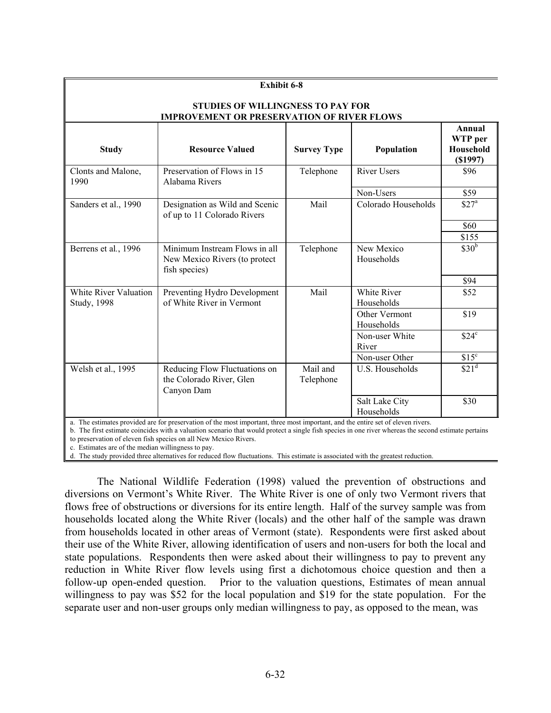| <b>Exhibit 6-8</b>                                                                            |                                                                                 |                       |                              |                                           |  |  |  |  |
|-----------------------------------------------------------------------------------------------|---------------------------------------------------------------------------------|-----------------------|------------------------------|-------------------------------------------|--|--|--|--|
| <b>STUDIES OF WILLINGNESS TO PAY FOR</b><br><b>IMPROVEMENT OR PRESERVATION OF RIVER FLOWS</b> |                                                                                 |                       |                              |                                           |  |  |  |  |
| <b>Study</b>                                                                                  | <b>Resource Valued</b>                                                          | <b>Survey Type</b>    | Population                   | Annual<br>WTP per<br>Household<br>(S1997) |  |  |  |  |
| Clonts and Malone,<br>1990                                                                    | Preservation of Flows in 15<br>Alabama Rivers                                   | Telephone             | <b>River Users</b>           | \$96                                      |  |  |  |  |
|                                                                                               |                                                                                 |                       | Non-Users                    | \$59                                      |  |  |  |  |
| Sanders et al., 1990                                                                          | Designation as Wild and Scenic<br>of up to 11 Colorado Rivers                   | Mail                  | Colorado Households          | \$27 <sup>a</sup>                         |  |  |  |  |
|                                                                                               |                                                                                 |                       |                              | \$60                                      |  |  |  |  |
|                                                                                               |                                                                                 |                       |                              | \$155                                     |  |  |  |  |
| Berrens et al., 1996                                                                          | Minimum Instream Flows in all<br>New Mexico Rivers (to protect<br>fish species) | Telephone             | New Mexico<br>Households     | \$30 <sup>b</sup>                         |  |  |  |  |
|                                                                                               |                                                                                 |                       |                              | \$94                                      |  |  |  |  |
| White River Valuation<br><b>Study</b> , 1998                                                  | Preventing Hydro Development<br>of White River in Vermont                       | Mail                  | White River<br>Households    | \$52                                      |  |  |  |  |
|                                                                                               |                                                                                 |                       | Other Vermont<br>Households  | \$19                                      |  |  |  |  |
|                                                                                               |                                                                                 |                       | Non-user White<br>River      | $$24^{\circ}$                             |  |  |  |  |
|                                                                                               |                                                                                 |                       | Non-user Other               | \$15 <sup>c</sup>                         |  |  |  |  |
| Welsh et al., 1995                                                                            | Reducing Flow Fluctuations on<br>the Colorado River, Glen<br>Canyon Dam         | Mail and<br>Telephone | U.S. Households              | \$21 <sup>d</sup>                         |  |  |  |  |
|                                                                                               |                                                                                 |                       | Salt Lake City<br>Households | \$30                                      |  |  |  |  |

a. The estimates provided are for preservation of the most important, three most important, and the entire set of eleven rivers.

b. The first estimate coincides with a valuation scenario that would protect a single fish species in one river whereas the second estimate pertains to preservation of eleven fish species on all New Mexico Rivers.

c. Estimates are of the median willingness to pay.

d. The study provided three alternatives for reduced flow fluctuations. This estimate is associated with the greatest reduction.

The National Wildlife Federation (1998) valued the prevention of obstructions and diversions on Vermont's White River. The White River is one of only two Vermont rivers that flows free of obstructions or diversions for its entire length. Half of the survey sample was from households located along the White River (locals) and the other half of the sample was drawn from households located in other areas of Vermont (state). Respondents were first asked about their use of the White River, allowing identification of users and non-users for both the local and state populations. Respondents then were asked about their willingness to pay to prevent any reduction in White River flow levels using first a dichotomous choice question and then a follow-up open-ended question. Prior to the valuation questions, Estimates of mean annual willingness to pay was \$52 for the local population and \$19 for the state population. For the separate user and non-user groups only median willingness to pay, as opposed to the mean, was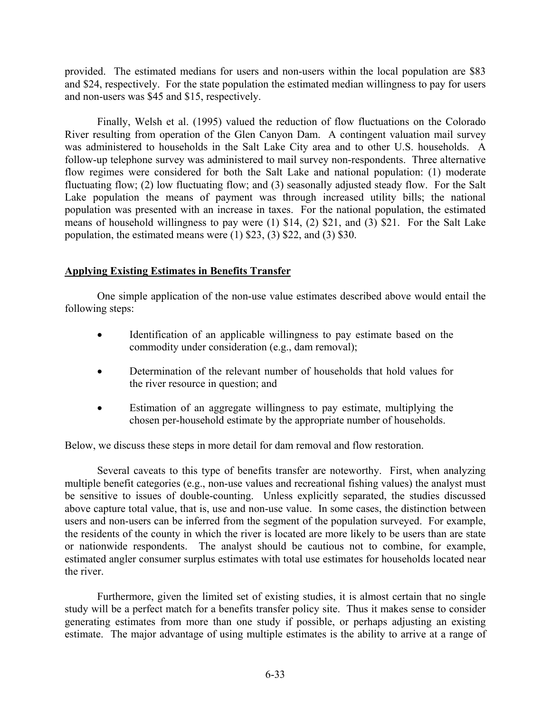provided. The estimated medians for users and non-users within the local population are \$83 and \$24, respectively. For the state population the estimated median willingness to pay for users and non-users was \$45 and \$15, respectively.

Finally, Welsh et al. (1995) valued the reduction of flow fluctuations on the Colorado River resulting from operation of the Glen Canyon Dam. A contingent valuation mail survey was administered to households in the Salt Lake City area and to other U.S. households. A follow-up telephone survey was administered to mail survey non-respondents. Three alternative flow regimes were considered for both the Salt Lake and national population: (1) moderate fluctuating flow; (2) low fluctuating flow; and (3) seasonally adjusted steady flow. For the Salt Lake population the means of payment was through increased utility bills; the national population was presented with an increase in taxes. For the national population, the estimated means of household willingness to pay were (1) \$14, (2) \$21, and (3) \$21. For the Salt Lake population, the estimated means were (1) \$23, (3) \$22, and (3) \$30.

# **Applying Existing Estimates in Benefits Transfer**

 One simple application of the non-use value estimates described above would entail the following steps:

- Identification of an applicable willingness to pay estimate based on the commodity under consideration (e.g., dam removal);
- Determination of the relevant number of households that hold values for the river resource in question; and
- Estimation of an aggregate willingness to pay estimate, multiplying the chosen per-household estimate by the appropriate number of households.

Below, we discuss these steps in more detail for dam removal and flow restoration.

Several caveats to this type of benefits transfer are noteworthy. First, when analyzing multiple benefit categories (e.g., non-use values and recreational fishing values) the analyst must be sensitive to issues of double-counting. Unless explicitly separated, the studies discussed above capture total value, that is, use and non-use value. In some cases, the distinction between users and non-users can be inferred from the segment of the population surveyed. For example, the residents of the county in which the river is located are more likely to be users than are state or nationwide respondents. The analyst should be cautious not to combine, for example, estimated angler consumer surplus estimates with total use estimates for households located near the river.

Furthermore, given the limited set of existing studies, it is almost certain that no single study will be a perfect match for a benefits transfer policy site. Thus it makes sense to consider generating estimates from more than one study if possible, or perhaps adjusting an existing estimate. The major advantage of using multiple estimates is the ability to arrive at a range of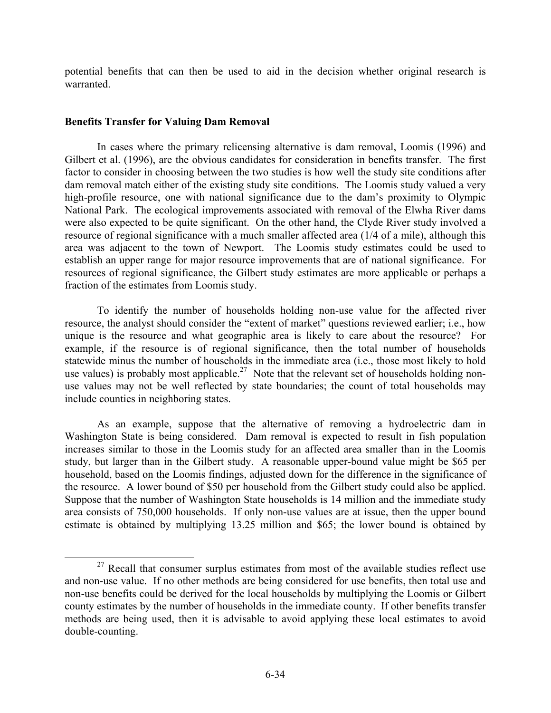potential benefits that can then be used to aid in the decision whether original research is warranted.

# **Benefits Transfer for Valuing Dam Removal**

 In cases where the primary relicensing alternative is dam removal, Loomis (1996) and Gilbert et al. (1996), are the obvious candidates for consideration in benefits transfer. The first factor to consider in choosing between the two studies is how well the study site conditions after dam removal match either of the existing study site conditions. The Loomis study valued a very high-profile resource, one with national significance due to the dam's proximity to Olympic National Park. The ecological improvements associated with removal of the Elwha River dams were also expected to be quite significant. On the other hand, the Clyde River study involved a resource of regional significance with a much smaller affected area (1/4 of a mile), although this area was adjacent to the town of Newport. The Loomis study estimates could be used to establish an upper range for major resource improvements that are of national significance. For resources of regional significance, the Gilbert study estimates are more applicable or perhaps a fraction of the estimates from Loomis study.

 To identify the number of households holding non-use value for the affected river resource, the analyst should consider the "extent of market" questions reviewed earlier; i.e., how unique is the resource and what geographic area is likely to care about the resource? For example, if the resource is of regional significance, then the total number of households statewide minus the number of households in the immediate area (i.e., those most likely to hold use values) is probably most applicable.<sup>27</sup> Note that the relevant set of households holding nonuse values may not be well reflected by state boundaries; the count of total households may include counties in neighboring states.

 As an example, suppose that the alternative of removing a hydroelectric dam in Washington State is being considered. Dam removal is expected to result in fish population increases similar to those in the Loomis study for an affected area smaller than in the Loomis study, but larger than in the Gilbert study. A reasonable upper-bound value might be \$65 per household, based on the Loomis findings, adjusted down for the difference in the significance of the resource. A lower bound of \$50 per household from the Gilbert study could also be applied. Suppose that the number of Washington State households is 14 million and the immediate study area consists of 750,000 households. If only non-use values are at issue, then the upper bound estimate is obtained by multiplying 13.25 million and \$65; the lower bound is obtained by

 $27$  Recall that consumer surplus estimates from most of the available studies reflect use and non-use value. If no other methods are being considered for use benefits, then total use and non-use benefits could be derived for the local households by multiplying the Loomis or Gilbert county estimates by the number of households in the immediate county. If other benefits transfer methods are being used, then it is advisable to avoid applying these local estimates to avoid double-counting.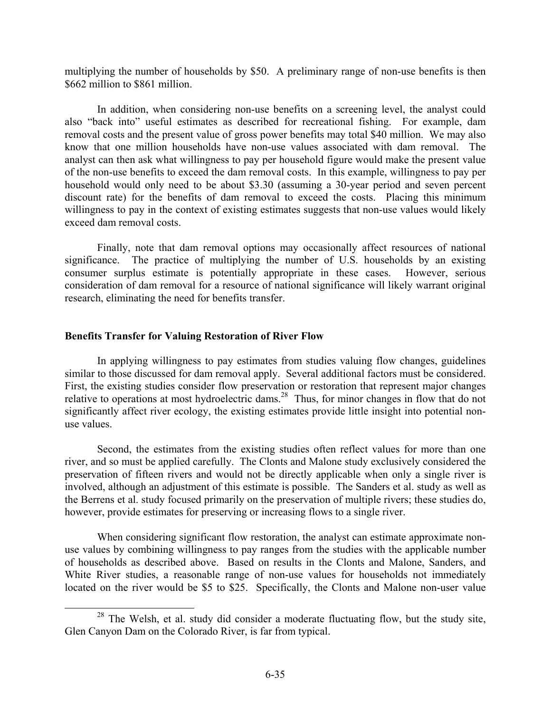multiplying the number of households by \$50. A preliminary range of non-use benefits is then \$662 million to \$861 million.

 In addition, when considering non-use benefits on a screening level, the analyst could also "back into" useful estimates as described for recreational fishing. For example, dam removal costs and the present value of gross power benefits may total \$40 million. We may also know that one million households have non-use values associated with dam removal. The analyst can then ask what willingness to pay per household figure would make the present value of the non-use benefits to exceed the dam removal costs. In this example, willingness to pay per household would only need to be about \$3.30 (assuming a 30-year period and seven percent discount rate) for the benefits of dam removal to exceed the costs. Placing this minimum willingness to pay in the context of existing estimates suggests that non-use values would likely exceed dam removal costs.

 Finally, note that dam removal options may occasionally affect resources of national significance. The practice of multiplying the number of U.S. households by an existing consumer surplus estimate is potentially appropriate in these cases. However, serious consideration of dam removal for a resource of national significance will likely warrant original research, eliminating the need for benefits transfer.

### **Benefits Transfer for Valuing Restoration of River Flow**

 In applying willingness to pay estimates from studies valuing flow changes, guidelines similar to those discussed for dam removal apply. Several additional factors must be considered. First, the existing studies consider flow preservation or restoration that represent major changes relative to operations at most hydroelectric dams.<sup>28</sup> Thus, for minor changes in flow that do not significantly affect river ecology, the existing estimates provide little insight into potential nonuse values.

Second, the estimates from the existing studies often reflect values for more than one river, and so must be applied carefully. The Clonts and Malone study exclusively considered the preservation of fifteen rivers and would not be directly applicable when only a single river is involved, although an adjustment of this estimate is possible. The Sanders et al. study as well as the Berrens et al. study focused primarily on the preservation of multiple rivers; these studies do, however, provide estimates for preserving or increasing flows to a single river.

When considering significant flow restoration, the analyst can estimate approximate nonuse values by combining willingness to pay ranges from the studies with the applicable number of households as described above. Based on results in the Clonts and Malone, Sanders, and White River studies, a reasonable range of non-use values for households not immediately located on the river would be \$5 to \$25. Specifically, the Clonts and Malone non-user value

<sup>&</sup>lt;sup>28</sup> The Welsh, et al. study did consider a moderate fluctuating flow, but the study site, Glen Canyon Dam on the Colorado River, is far from typical.